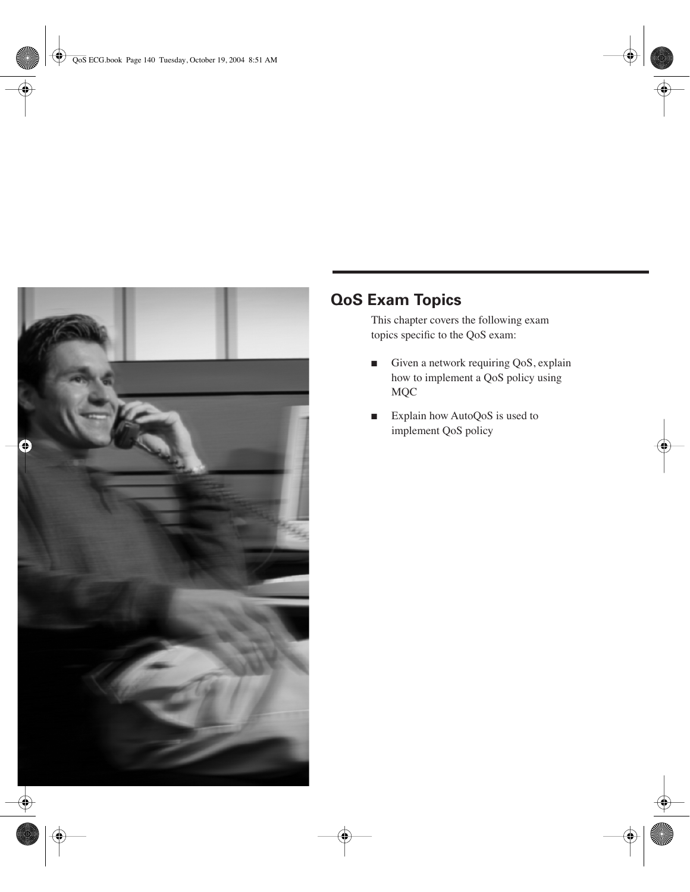

## **QoS Exam Topics**

This chapter covers the following exam topics specific to the QoS exam:

- Given a network requiring QoS, explain how to implement a QoS policy using MQC
- Explain how AutoQoS is used to implement QoS policy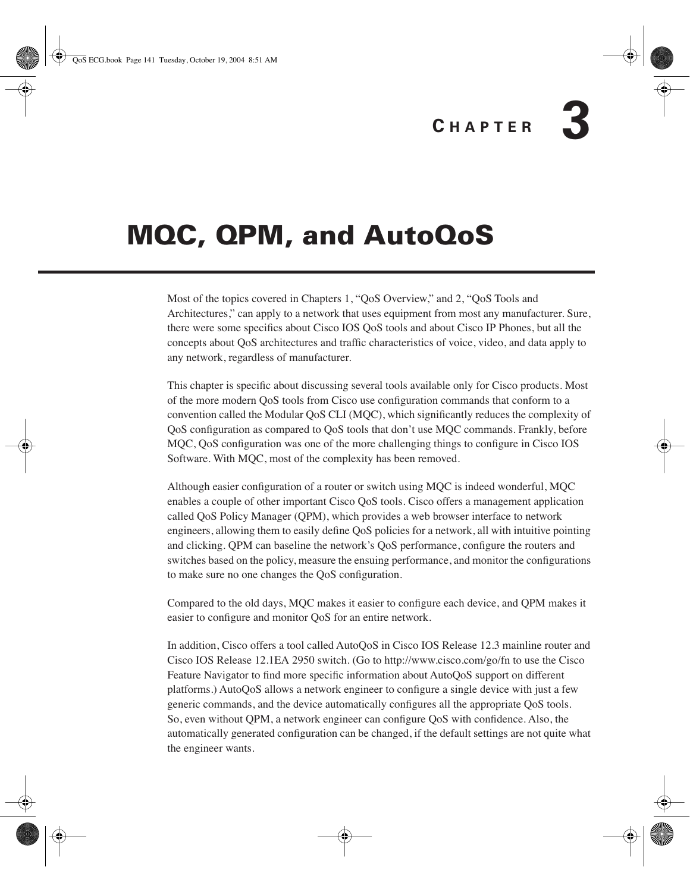# **C H <sup>A</sup> <sup>P</sup> <sup>T</sup> <sup>E</sup> <sup>R</sup> 3**

# **MQC, QPM, and AutoQoS**

Most of the topics covered in Chapters 1, "QoS Overview," and 2, "QoS Tools and Architectures," can apply to a network that uses equipment from most any manufacturer. Sure, there were some specifics about Cisco IOS QoS tools and about Cisco IP Phones, but all the concepts about QoS architectures and traffic characteristics of voice, video, and data apply to any network, regardless of manufacturer.

This chapter is specific about discussing several tools available only for Cisco products. Most of the more modern QoS tools from Cisco use configuration commands that conform to a convention called the Modular QoS CLI (MQC), which significantly reduces the complexity of QoS configuration as compared to QoS tools that don't use MQC commands. Frankly, before MQC, QoS configuration was one of the more challenging things to configure in Cisco IOS Software. With MQC, most of the complexity has been removed.

Although easier configuration of a router or switch using MQC is indeed wonderful, MQC enables a couple of other important Cisco QoS tools. Cisco offers a management application called QoS Policy Manager (QPM), which provides a web browser interface to network engineers, allowing them to easily define QoS policies for a network, all with intuitive pointing and clicking. QPM can baseline the network's QoS performance, configure the routers and switches based on the policy, measure the ensuing performance, and monitor the configurations to make sure no one changes the QoS configuration.

Compared to the old days, MQC makes it easier to configure each device, and QPM makes it easier to configure and monitor QoS for an entire network.

In addition, Cisco offers a tool called AutoQoS in Cisco IOS Release 12.3 mainline router and Cisco IOS Release 12.1EA 2950 switch. (Go to http://www.cisco.com/go/fn to use the Cisco Feature Navigator to find more specific information about AutoQoS support on different platforms.) AutoQoS allows a network engineer to configure a single device with just a few generic commands, and the device automatically configures all the appropriate QoS tools. So, even without QPM, a network engineer can configure QoS with confidence. Also, the automatically generated configuration can be changed, if the default settings are not quite what the engineer wants.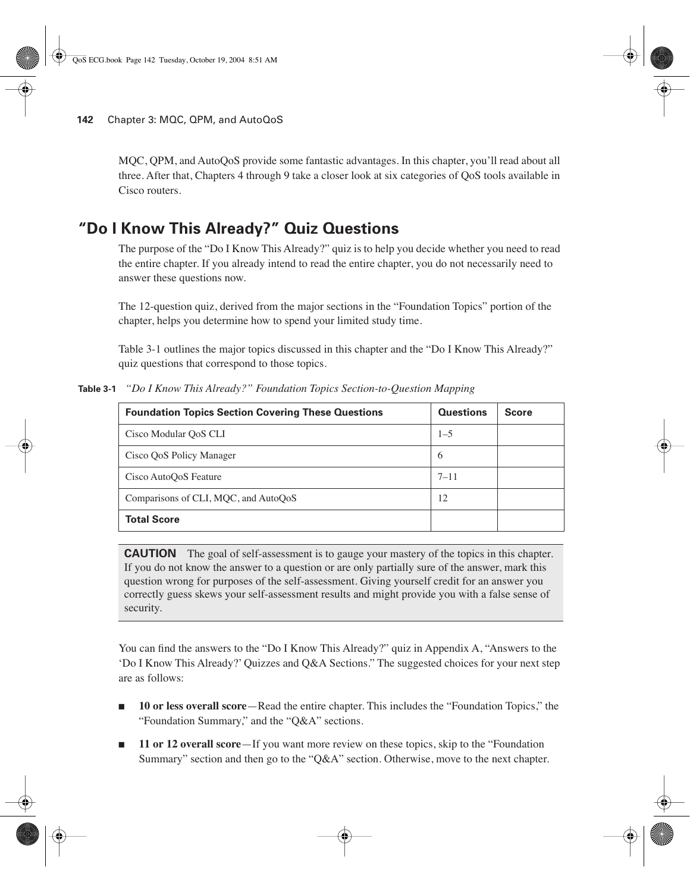MQC, QPM, and AutoQoS provide some fantastic advantages. In this chapter, you'll read about all three. After that, Chapters 4 through 9 take a closer look at six categories of QoS tools available in Cisco routers.

## **"Do I Know This Already?" Quiz Questions**

The purpose of the "Do I Know This Already?" quiz is to help you decide whether you need to read the entire chapter. If you already intend to read the entire chapter, you do not necessarily need to answer these questions now.

The 12-question quiz, derived from the major sections in the "Foundation Topics" portion of the chapter, helps you determine how to spend your limited study time.

Table 3-1 outlines the major topics discussed in this chapter and the "Do I Know This Already?" quiz questions that correspond to those topics.

| Table 3-1 "Do I Know This Already?" Foundation Topics Section-to-Question Mapping |  |  |  |
|-----------------------------------------------------------------------------------|--|--|--|
|-----------------------------------------------------------------------------------|--|--|--|

| <b>Foundation Topics Section Covering These Questions</b> | <b>Questions</b> | <b>Score</b> |
|-----------------------------------------------------------|------------------|--------------|
| Cisco Modular OoS CLI                                     | $1 - 5$          |              |
| Cisco OoS Policy Manager                                  | 6                |              |
| Cisco AutoQoS Feature                                     | $7 - 11$         |              |
| Comparisons of CLI, MQC, and AutoQoS                      | 12               |              |
| <b>Total Score</b>                                        |                  |              |

**CAUTION** The goal of self-assessment is to gauge your mastery of the topics in this chapter. If you do not know the answer to a question or are only partially sure of the answer, mark this question wrong for purposes of the self-assessment. Giving yourself credit for an answer you correctly guess skews your self-assessment results and might provide you with a false sense of security.

You can find the answers to the "Do I Know This Already?" quiz in Appendix A, "Answers to the 'Do I Know This Already?' Quizzes and Q&A Sections." The suggested choices for your next step are as follows:

- **10 or less overall score**—Read the entire chapter. This includes the "Foundation Topics," the "Foundation Summary," and the "Q&A" sections.
- **11 or 12 overall score**—If you want more review on these topics, skip to the "Foundation" Summary" section and then go to the " $Q&A$ " section. Otherwise, move to the next chapter.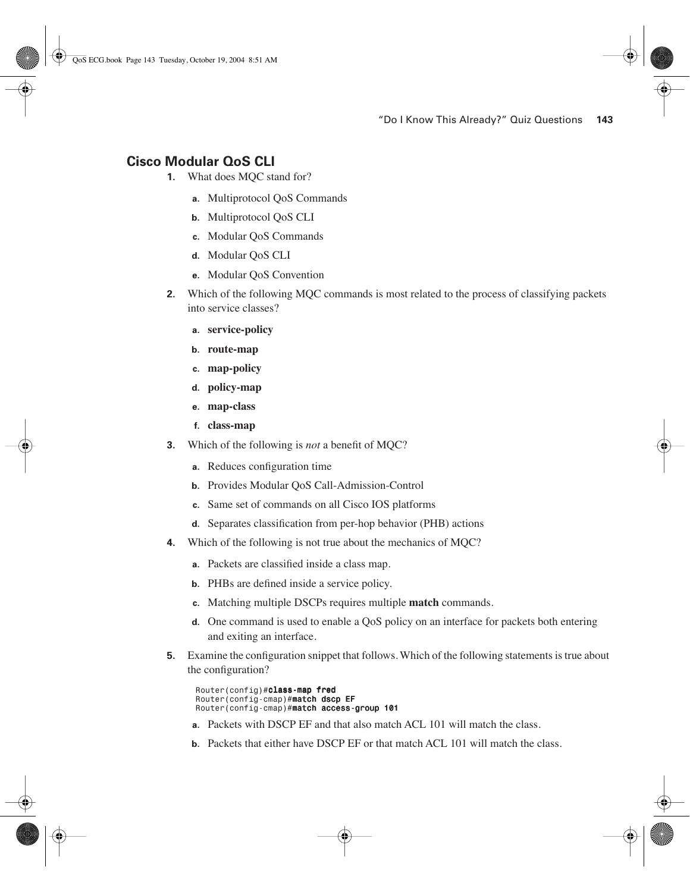#### **Cisco Modular QoS CLI**

- **1.** What does MQC stand for?
	- **a.** Multiprotocol QoS Commands
	- **b.** Multiprotocol QoS CLI
	- **c.** Modular QoS Commands
	- **d.** Modular QoS CLI
	- **e.** Modular QoS Convention
- **2.** Which of the following MOC commands is most related to the process of classifying packets into service classes?
	- **a. service-policy**
	- **b. route-map**
	- **c. map-policy**
	- **d. policy-map**
	- **e. map-class**
	- **f. class-map**
- **3.** Which of the following is *not* a benefit of MQC?
	- **a.** Reduces configuration time
	- **b.** Provides Modular QoS Call-Admission-Control
	- **c.** Same set of commands on all Cisco IOS platforms
	- **d.** Separates classification from per-hop behavior (PHB) actions
- **4.** Which of the following is not true about the mechanics of MQC?
	- **a.** Packets are classified inside a class map.
	- **b.** PHBs are defined inside a service policy.
	- **c.** Matching multiple DSCPs requires multiple **match** commands.
	- **d.** One command is used to enable a QoS policy on an interface for packets both entering and exiting an interface.
- **5.** Examine the configuration snippet that follows. Which of the following statements is true about the configuration?

Router(config)#class-map fred Router(config-cmap)#match dscp EF Router(config-cmap)#match access-group 101

- **a.** Packets with DSCP EF and that also match ACL 101 will match the class.
- **b.** Packets that either have DSCP EF or that match ACL 101 will match the class.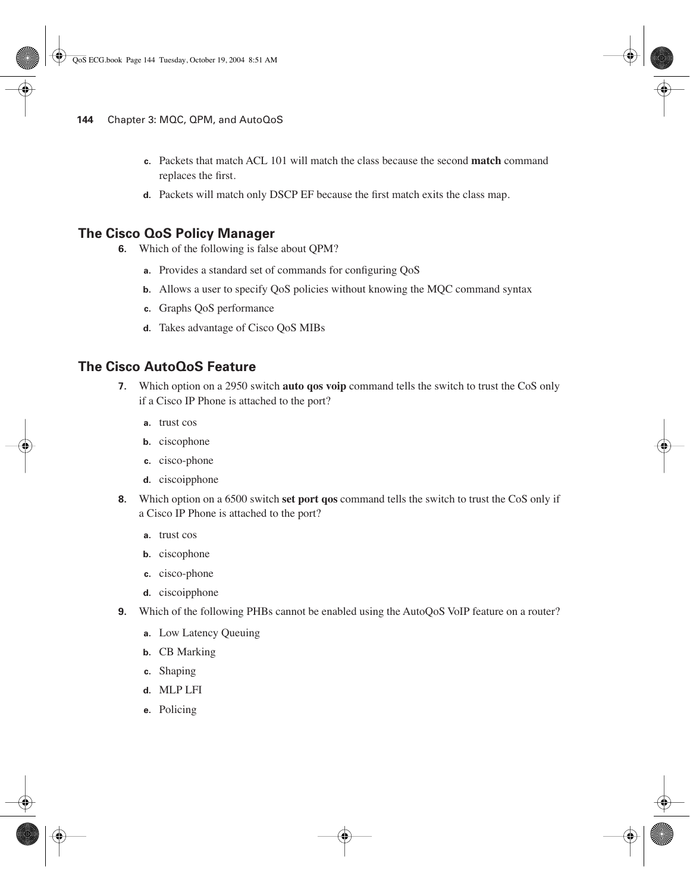- **c.** Packets that match ACL 101 will match the class because the second **match** command replaces the first.
- **d.** Packets will match only DSCP EF because the first match exits the class map.

#### **The Cisco QoS Policy Manager**

- **6.** Which of the following is false about QPM?
	- **a.** Provides a standard set of commands for configuring QoS
	- **b.** Allows a user to specify QoS policies without knowing the MQC command syntax
	- **c.** Graphs QoS performance
	- **d.** Takes advantage of Cisco QoS MIBs

#### **The Cisco AutoQoS Feature**

- **7.** Which option on a 2950 switch **auto qos voip** command tells the switch to trust the CoS only if a Cisco IP Phone is attached to the port?
	- **a.** trust cos
	- **b.** ciscophone
	- **c.** cisco-phone
	- **d.** ciscoipphone
- **8.** Which option on a 6500 switch **set port qos** command tells the switch to trust the CoS only if a Cisco IP Phone is attached to the port?
	- **a.** trust cos
	- **b.** ciscophone
	- **c.** cisco-phone
	- **d.** ciscoipphone
- **9.** Which of the following PHBs cannot be enabled using the AutoQoS VoIP feature on a router?
	- **a.** Low Latency Queuing
	- **b.** CB Marking
	- **c.** Shaping
	- **d.** MLP LFI
	- **e.** Policing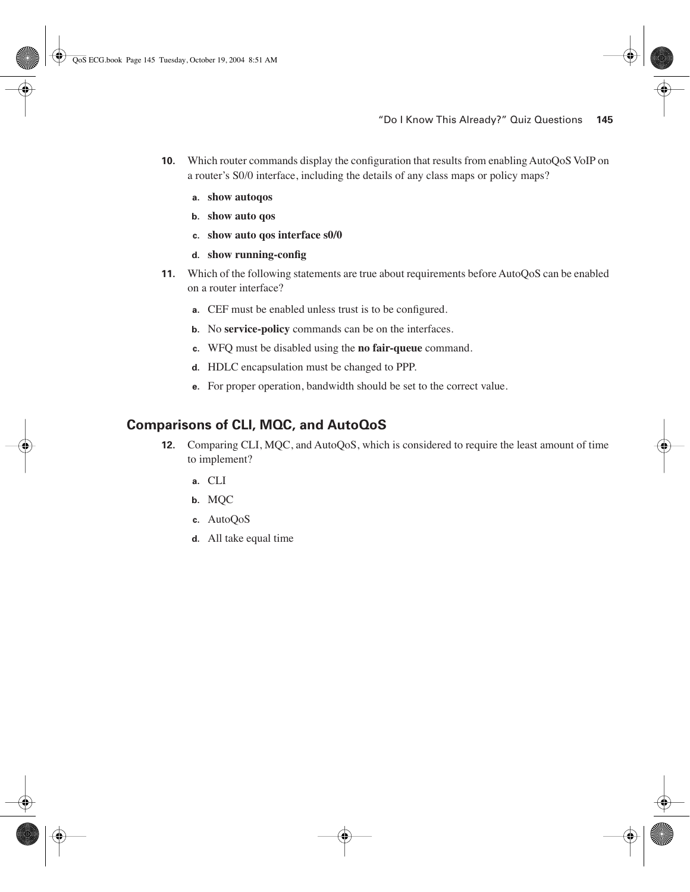- **10.** Which router commands display the configuration that results from enabling AutoQoS VoIP on a router's S0/0 interface, including the details of any class maps or policy maps?
	- **a. show autoqos**
	- **b. show auto qos**
	- **c. show auto qos interface s0/0**
	- **d. show running-config**
- **11.** Which of the following statements are true about requirements before AutoQoS can be enabled on a router interface?
	- **a.** CEF must be enabled unless trust is to be configured.
	- **b.** No **service-policy** commands can be on the interfaces.
	- **c.** WFQ must be disabled using the **no fair-queue** command.
	- **d.** HDLC encapsulation must be changed to PPP.
	- **e.** For proper operation, bandwidth should be set to the correct value.

#### **Comparisons of CLI, MQC, and AutoQoS**

- **12.** Comparing CLI, MQC, and AutoQoS, which is considered to require the least amount of time to implement?
	- **a.** CLI
	- **b.** MQC
	- **c.** AutoQoS
	- **d.** All take equal time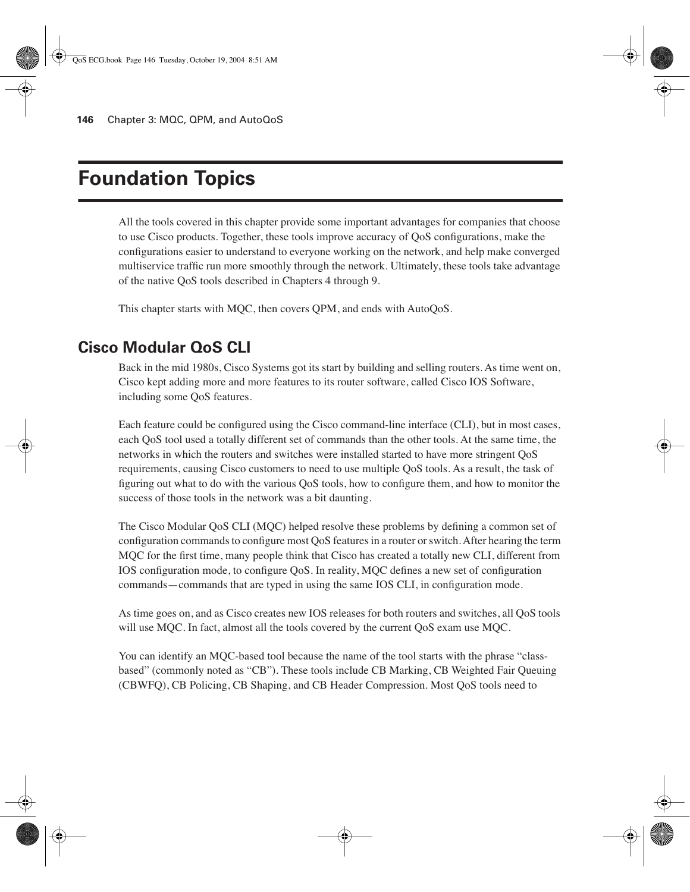# **Foundation Topics**

All the tools covered in this chapter provide some important advantages for companies that choose to use Cisco products. Together, these tools improve accuracy of QoS configurations, make the configurations easier to understand to everyone working on the network, and help make converged multiservice traffic run more smoothly through the network. Ultimately, these tools take advantage of the native QoS tools described in Chapters 4 through 9.

This chapter starts with MQC, then covers QPM, and ends with AutoQoS.

## **Cisco Modular QoS CLI**

Back in the mid 1980s, Cisco Systems got its start by building and selling routers. As time went on, Cisco kept adding more and more features to its router software, called Cisco IOS Software, including some QoS features.

Each feature could be configured using the Cisco command-line interface (CLI), but in most cases, each QoS tool used a totally different set of commands than the other tools. At the same time, the networks in which the routers and switches were installed started to have more stringent QoS requirements, causing Cisco customers to need to use multiple QoS tools. As a result, the task of figuring out what to do with the various QoS tools, how to configure them, and how to monitor the success of those tools in the network was a bit daunting.

The Cisco Modular QoS CLI (MQC) helped resolve these problems by defining a common set of configuration commands to configure most QoS features in a router or switch. After hearing the term MQC for the first time, many people think that Cisco has created a totally new CLI, different from IOS configuration mode, to configure QoS. In reality, MQC defines a new set of configuration commands—commands that are typed in using the same IOS CLI, in configuration mode.

As time goes on, and as Cisco creates new IOS releases for both routers and switches, all QoS tools will use MQC. In fact, almost all the tools covered by the current QoS exam use MQC.

You can identify an MQC-based tool because the name of the tool starts with the phrase "classbased" (commonly noted as "CB"). These tools include CB Marking, CB Weighted Fair Queuing (CBWFQ), CB Policing, CB Shaping, and CB Header Compression. Most QoS tools need to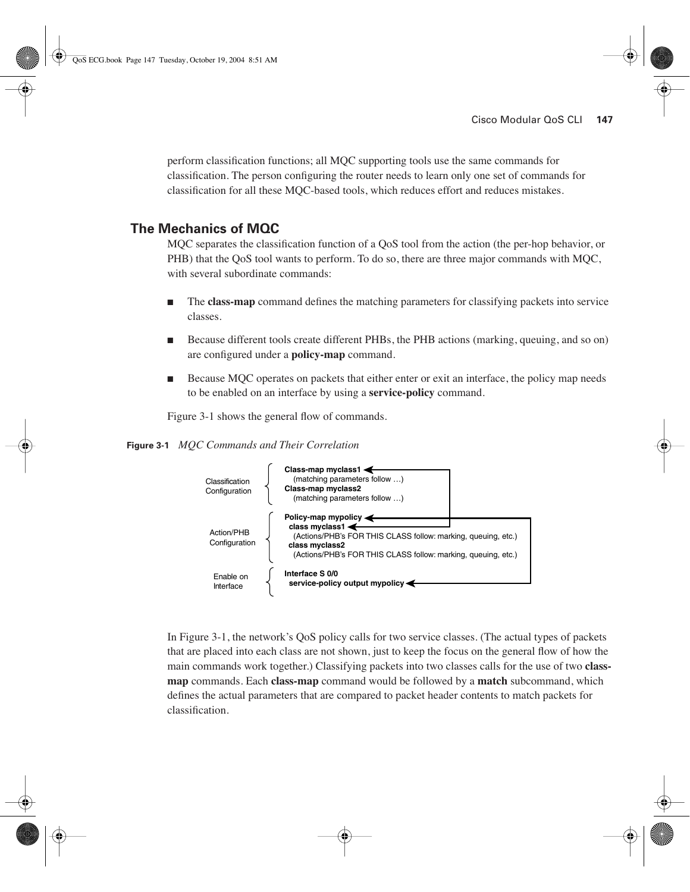perform classification functions; all MQC supporting tools use the same commands for classification. The person configuring the router needs to learn only one set of commands for classification for all these MQC-based tools, which reduces effort and reduces mistakes.

#### **The Mechanics of MQC**

MQC separates the classification function of a QoS tool from the action (the per-hop behavior, or PHB) that the QoS tool wants to perform. To do so, there are three major commands with MQC, with several subordinate commands:

- The **class-map** command defines the matching parameters for classifying packets into service classes.
- Because different tools create different PHBs, the PHB actions (marking, queuing, and so on) are configured under a **policy-map** command.
- Because MQC operates on packets that either enter or exit an interface, the policy map needs to be enabled on an interface by using a **service-policy** command.

Figure 3-1 shows the general flow of commands.

**Figure 3-1** *MQC Commands and Their Correlation*



In Figure 3-1, the network's QoS policy calls for two service classes. (The actual types of packets that are placed into each class are not shown, just to keep the focus on the general flow of how the main commands work together.) Classifying packets into two classes calls for the use of two **classmap** commands. Each **class-map** command would be followed by a **match** subcommand, which defines the actual parameters that are compared to packet header contents to match packets for classification.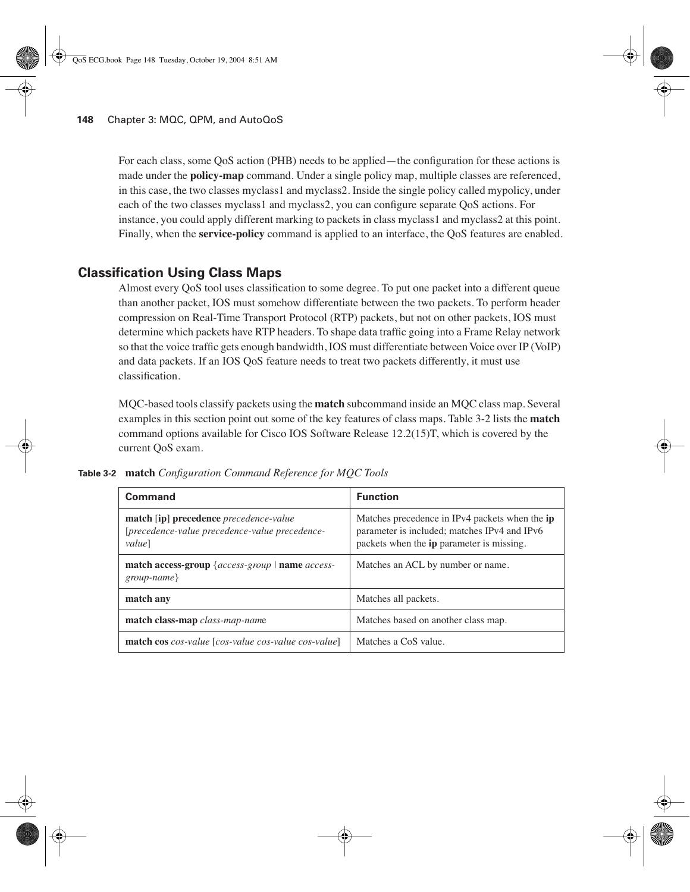For each class, some QoS action (PHB) needs to be applied—the configuration for these actions is made under the **policy-map** command. Under a single policy map, multiple classes are referenced, in this case, the two classes myclass1 and myclass2. Inside the single policy called mypolicy, under each of the two classes myclass1 and myclass2, you can configure separate QoS actions. For instance, you could apply different marking to packets in class myclass1 and myclass2 at this point. Finally, when the **service-policy** command is applied to an interface, the QoS features are enabled.

#### **Classification Using Class Maps**

Almost every QoS tool uses classification to some degree. To put one packet into a different queue than another packet, IOS must somehow differentiate between the two packets. To perform header compression on Real-Time Transport Protocol (RTP) packets, but not on other packets, IOS must determine which packets have RTP headers. To shape data traffic going into a Frame Relay network so that the voice traffic gets enough bandwidth, IOS must differentiate between Voice over IP (VoIP) and data packets. If an IOS QoS feature needs to treat two packets differently, it must use classification.

MQC-based tools classify packets using the **match** subcommand inside an MQC class map. Several examples in this section point out some of the key features of class maps. Table 3-2 lists the **match**  command options available for Cisco IOS Software Release 12.2(15)T, which is covered by the current QoS exam.

| Command                                                                                                         | <b>Function</b>                                                                                                                                    |
|-----------------------------------------------------------------------------------------------------------------|----------------------------------------------------------------------------------------------------------------------------------------------------|
| <b>match</b> [ip] precedence <i>precedence-value</i><br>[precedence-value precedence-value precedence-<br>value | Matches precedence in IPv4 packets when the ip<br>parameter is included; matches IPv4 and IPv6<br>packets when the <b>ip</b> parameter is missing. |
| match access-group { <i>access-group</i>   <b>name</b> <i>access</i> -<br>$group$ -name                         | Matches an ACL by number or name.                                                                                                                  |
| match any                                                                                                       | Matches all packets.                                                                                                                               |
| match class-map class-map-name                                                                                  | Matches based on another class map.                                                                                                                |
| <b>match cos</b> cos-value [cos-value cos-value cos-value]                                                      | Matches a CoS value.                                                                                                                               |

**Table 3-2 match** *Configuration Command Reference for MQC Tools*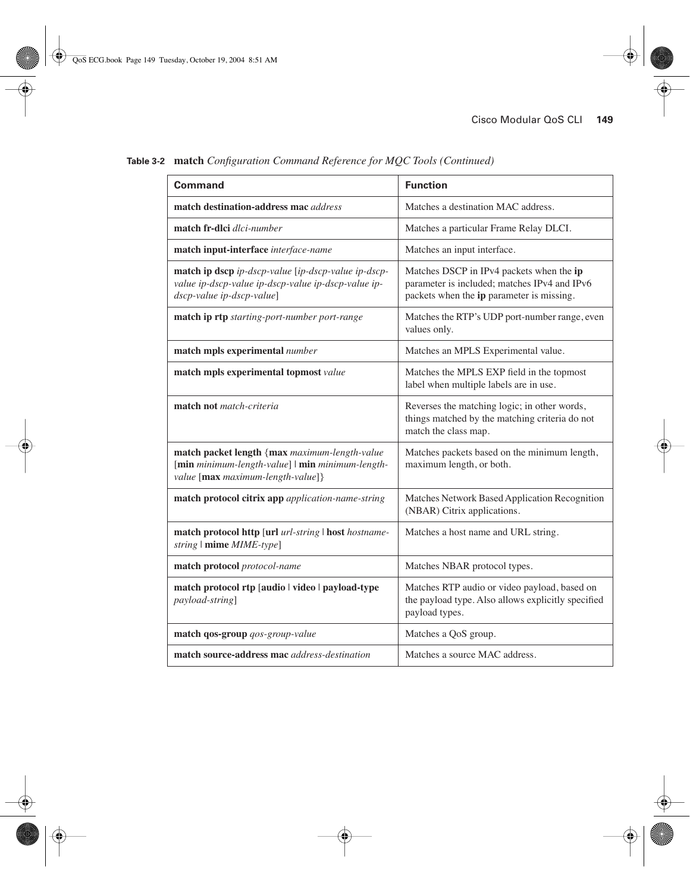| <b>Command</b>                                                                                                                          | <b>Function</b>                                                                                                                       |  |
|-----------------------------------------------------------------------------------------------------------------------------------------|---------------------------------------------------------------------------------------------------------------------------------------|--|
| match destination-address mac address                                                                                                   | Matches a destination MAC address.                                                                                                    |  |
| match fr-dlci dlci-number                                                                                                               | Matches a particular Frame Relay DLCI.                                                                                                |  |
| match input-interface interface-name                                                                                                    | Matches an input interface.                                                                                                           |  |
| match ip dscp ip-dscp-value [ip-dscp-value ip-dscp-<br>value ip-dscp-value ip-dscp-value ip-dscp-value ip-<br>dscp-value ip-dscp-value] | Matches DSCP in IPv4 packets when the ip<br>parameter is included; matches IPv4 and IPv6<br>packets when the ip parameter is missing. |  |
| match ip rtp starting-port-number port-range                                                                                            | Matches the RTP's UDP port-number range, even<br>values only.                                                                         |  |
| match mpls experimental number                                                                                                          | Matches an MPLS Experimental value.                                                                                                   |  |
| match mpls experimental topmost value                                                                                                   | Matches the MPLS EXP field in the topmost<br>label when multiple labels are in use.                                                   |  |
| match not <i>match-criteria</i>                                                                                                         | Reverses the matching logic; in other words,<br>things matched by the matching criteria do not<br>match the class map.                |  |
| match packet length {max maximum-length-value<br>[min minimum-length-value]   min minimum-length-<br>value [max maximum-length-value]}  | Matches packets based on the minimum length,<br>maximum length, or both.                                                              |  |
| match protocol citrix app application-name-string                                                                                       | Matches Network Based Application Recognition<br>(NBAR) Citrix applications.                                                          |  |
| match protocol http [url url-string   host hostname-<br>string   mime MIME-type]                                                        | Matches a host name and URL string.                                                                                                   |  |
| match protocol protocol-name                                                                                                            | Matches NBAR protocol types.                                                                                                          |  |
| match protocol rtp [audio   video   payload-type<br>payload-string]                                                                     | Matches RTP audio or video payload, based on<br>the payload type. Also allows explicitly specified<br>payload types.                  |  |
| match qos-group qos-group-value                                                                                                         | Matches a QoS group.                                                                                                                  |  |
| match source-address mac address-destination                                                                                            | Matches a source MAC address.                                                                                                         |  |

**Table 3-2 match** *Configuration Command Reference for MQC Tools (Continued)*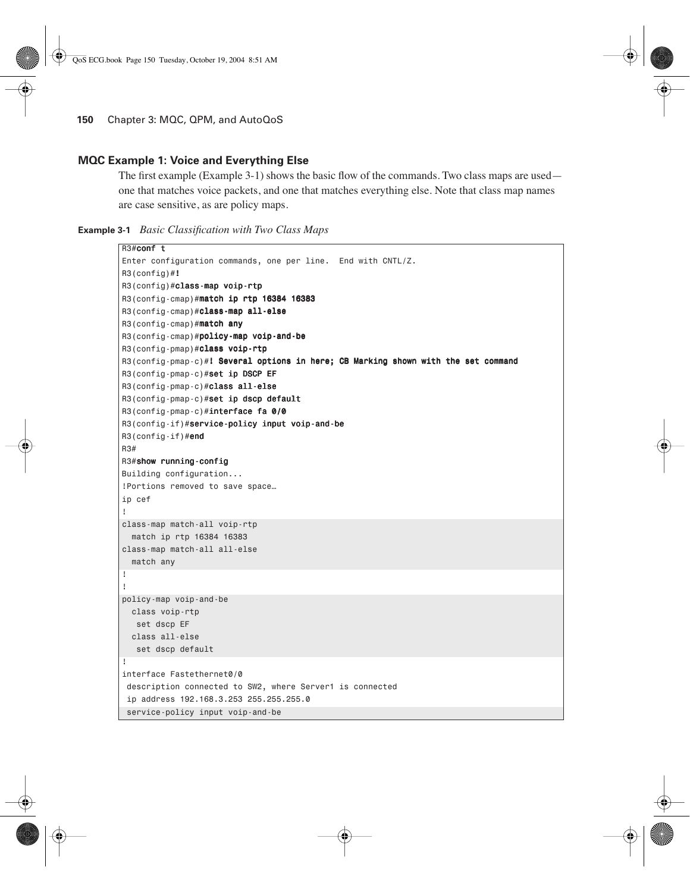#### **MQC Example 1: Voice and Everything Else**

The first example (Example 3-1) shows the basic flow of the commands. Two class maps are used one that matches voice packets, and one that matches everything else. Note that class map names are case sensitive, as are policy maps.

**Example 3-1** *Basic Classification with Two Class Maps*

```
R3#conf t
Enter configuration commands, one per line. End with CNTL/Z.
R3(config)#!
R3(config)#class-map voip-rtp
R3(config-cmap)#match ip rtp 16384 16383
R3(config-cmap)#class-map all-else
R3(config-cmap)#match any
R3(config-cmap)#policy-map voip-and-be
R3(config-pmap)#class voip-rtp
R3(config-pmap-c)#! Several options in here; CB Marking shown with the set command
R3(config-pmap-c)#set ip DSCP EF
R3(config-pmap-c)#class all-else
R3(config-pmap-c)#set ip dscp default
R3(config-pmap-c)#interface fa 0/0
R3(config-if)#service-policy input voip-and-be
R3(config-if)#end
R3#
R3#show running-config
Building configuration...
!Portions removed to save space…
ip cef
!
class-map match-all voip-rtp
  match ip rtp 16384 16383 
class-map match-all all-else
  match any
!
!
policy-map voip-and-be
  class voip-rtp
   set dscp EF
  class all-else
   set dscp default
!
interface Fastethernet0/0
  description connected to SW2, where Server1 is connected
  ip address 192.168.3.253 255.255.255.0
  service-policy input voip-and-be
```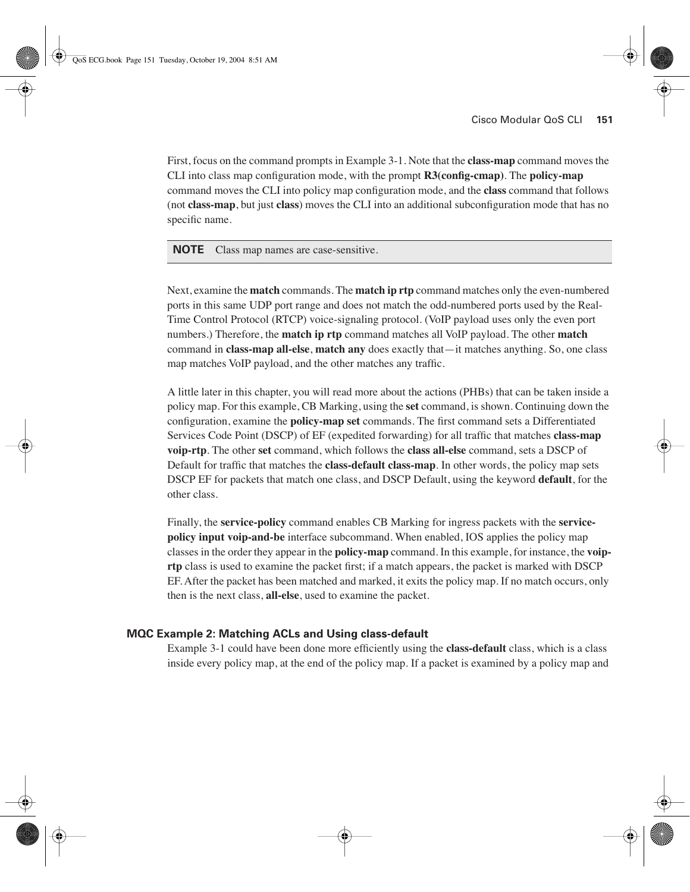First, focus on the command prompts in Example 3-1. Note that the **class-map** command moves the CLI into class map configuration mode, with the prompt **R3(config-cmap)**. The **policy-map** command moves the CLI into policy map configuration mode, and the **class** command that follows (not **class-map**, but just **class**) moves the CLI into an additional subconfiguration mode that has no specific name.

#### **NOTE** Class map names are case-sensitive.

Next, examine the **match** commands. The **match ip rtp** command matches only the even-numbered ports in this same UDP port range and does not match the odd-numbered ports used by the Real-Time Control Protocol (RTCP) voice-signaling protocol. (VoIP payload uses only the even port numbers.) Therefore, the **match ip rtp** command matches all VoIP payload. The other **match**  command in **class-map all-else**, **match any** does exactly that—it matches anything. So, one class map matches VoIP payload, and the other matches any traffic.

A little later in this chapter, you will read more about the actions (PHBs) that can be taken inside a policy map. For this example, CB Marking, using the **set** command, is shown. Continuing down the configuration, examine the **policy-map set** commands. The first command sets a Differentiated Services Code Point (DSCP) of EF (expedited forwarding) for all traffic that matches **class-map voip-rtp**. The other **set** command, which follows the **class all-else** command, sets a DSCP of Default for traffic that matches the **class-default class-map**. In other words, the policy map sets DSCP EF for packets that match one class, and DSCP Default, using the keyword **default**, for the other class.

Finally, the **service-policy** command enables CB Marking for ingress packets with the **servicepolicy input voip-and-be** interface subcommand. When enabled, IOS applies the policy map classes in the order they appear in the **policy-map** command. In this example, for instance, the **voiprtp** class is used to examine the packet first; if a match appears, the packet is marked with DSCP EF. After the packet has been matched and marked, it exits the policy map. If no match occurs, only then is the next class, **all-else**, used to examine the packet.

#### **MQC Example 2: Matching ACLs and Using class-default**

Example 3-1 could have been done more efficiently using the **class-default** class, which is a class inside every policy map, at the end of the policy map. If a packet is examined by a policy map and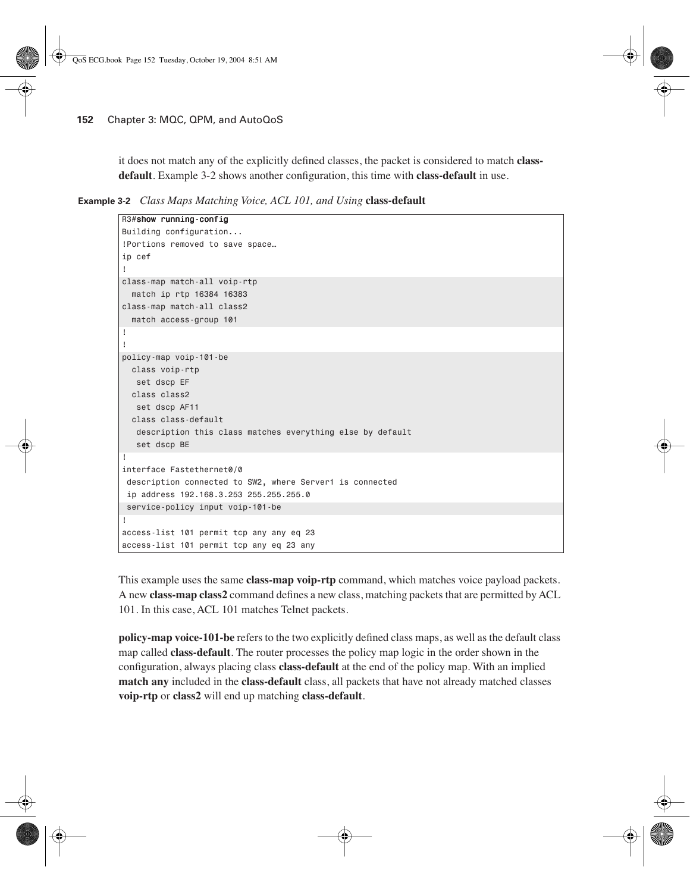it does not match any of the explicitly defined classes, the packet is considered to match **classdefault**. Example 3-2 shows another configuration, this time with **class-default** in use.

**Example 3-2** *Class Maps Matching Voice, ACL 101, and Using* **class-default**

```
R3#show running-config
Building configuration...
!Portions removed to save space…
ip cef
!
class-map match-all voip-rtp
  match ip rtp 16384 16383 
class-map match-all class2
  match access-group 101
!
!
policy-map voip-101-be
  class voip-rtp
   set dscp EF
  class class2
  set dscp AF11
  class class-default
    description this class matches everything else by default
   set dscp BE
!
interface Fastethernet0/0
 description connected to SW2, where Server1 is connected
  ip address 192.168.3.253 255.255.255.0
  service-policy input voip-101-be
!
access-list 101 permit tcp any any eq 23
access-list 101 permit tcp any eq 23 any
```
This example uses the same **class-map voip-rtp** command, which matches voice payload packets. A new **class-map class2** command defines a new class, matching packets that are permitted by ACL 101. In this case, ACL 101 matches Telnet packets.

**policy-map voice-101-be** refers to the two explicitly defined class maps, as well as the default class map called **class-default**. The router processes the policy map logic in the order shown in the configuration, always placing class **class-default** at the end of the policy map. With an implied **match any** included in the **class-default** class, all packets that have not already matched classes **voip-rtp** or **class2** will end up matching **class-default**.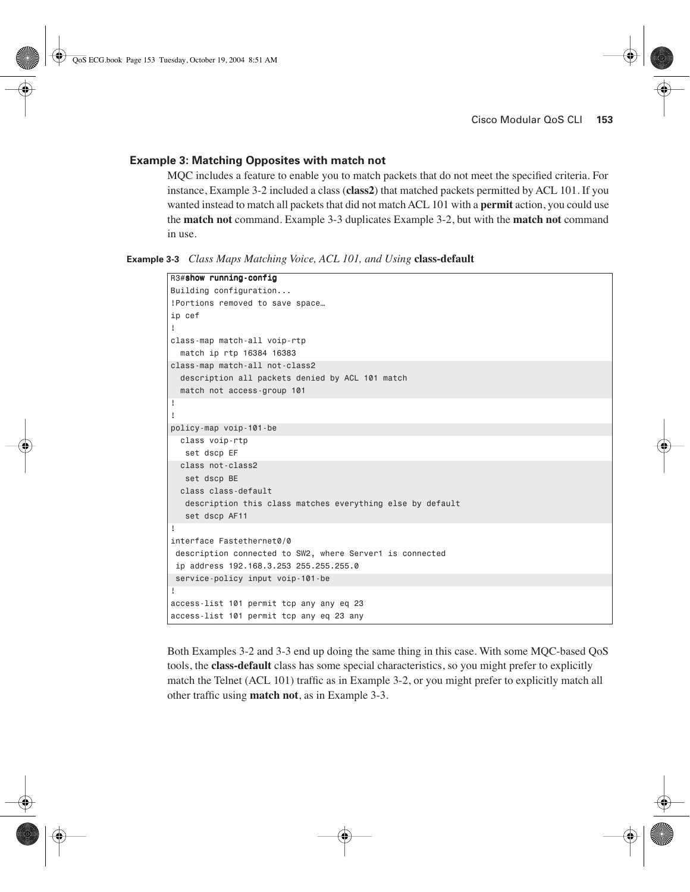#### **Example 3: Matching Opposites with match not**

MQC includes a feature to enable you to match packets that do not meet the specified criteria. For instance, Example 3-2 included a class (**class2**) that matched packets permitted by ACL 101. If you wanted instead to match all packets that did not match ACL 101 with a **permit** action, you could use the **match not** command. Example 3-3 duplicates Example 3-2, but with the **match not** command in use.

**Example 3-3** *Class Maps Matching Voice, ACL 101, and Using* **class-default**

```
R3#show running-config
```

```
Building configuration...
!Portions removed to save space…
ip cef
!
class-map match-all voip-rtp
  match ip rtp 16384 16383 
class-map match-all not-class2
  description all packets denied by ACL 101 match
  match not access-group 101
!
!
policy-map voip-101-be
  class voip-rtp
  set dscp EF
 class not-class2
   set dscp BE
  class class-default
   description this class matches everything else by default
    set dscp AF11
!
interface Fastethernet0/0
  description connected to SW2, where Server1 is connected
 ip address 192.168.3.253 255.255.255.0
  service-policy input voip-101-be
!
access-list 101 permit tcp any any eq 23
access-list 101 permit tcp any eq 23 any
```
Both Examples 3-2 and 3-3 end up doing the same thing in this case. With some MQC-based QoS tools, the **class-default** class has some special characteristics, so you might prefer to explicitly match the Telnet (ACL 101) traffic as in Example 3-2, or you might prefer to explicitly match all other traffic using **match not**, as in Example 3-3.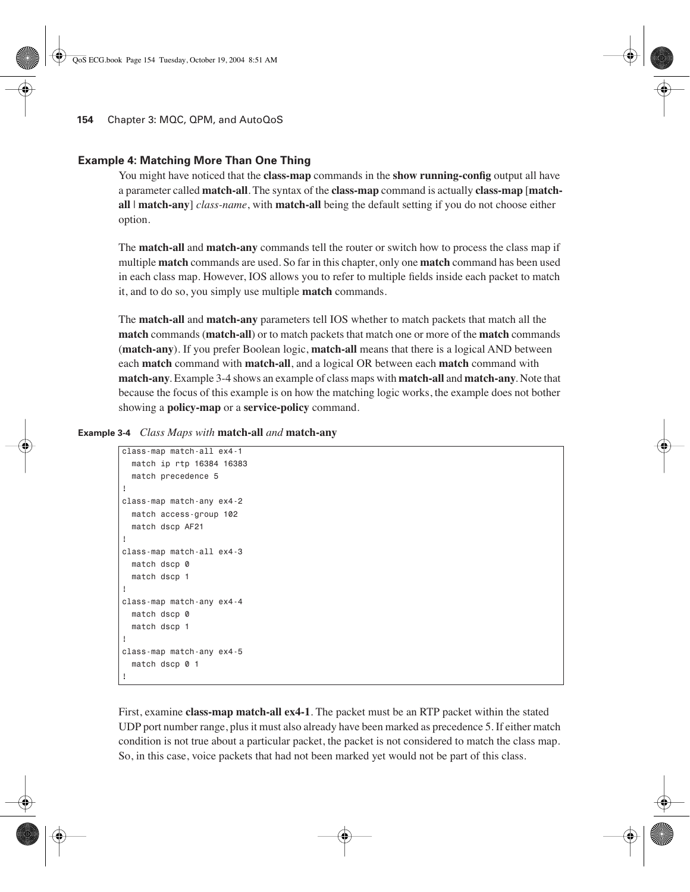#### **Example 4: Matching More Than One Thing**

You might have noticed that the **class-map** commands in the **show running-config** output all have a parameter called **match-all**. The syntax of the **class-map** command is actually **class-map** [**matchall** | **match-any**] *class-name*, with **match-all** being the default setting if you do not choose either option.

The **match-all** and **match-any** commands tell the router or switch how to process the class map if multiple **match** commands are used. So far in this chapter, only one **match** command has been used in each class map. However, IOS allows you to refer to multiple fields inside each packet to match it, and to do so, you simply use multiple **match** commands.

The **match-all** and **match-any** parameters tell IOS whether to match packets that match all the **match** commands (**match-all**) or to match packets that match one or more of the **match** commands (**match-any**). If you prefer Boolean logic, **match-all** means that there is a logical AND between each **match** command with **match-all**, and a logical OR between each **match** command with **match-any**. Example 3-4 shows an example of class maps with **match-all** and **match-any**. Note that because the focus of this example is on how the matching logic works, the example does not bother showing a **policy-map** or a **service-policy** command.

**Example 3-4** *Class Maps with* **match-all** *and* **match-any**

```
class-map match-all ex4-1
   match ip rtp 16384 16383
   match precedence 5 
!
class-map match-any ex4-2
   match access-group 102
  match dscp AF21
!
class-map match-all ex4-3
  match dscp 0 
  match dscp 1
!
class-map match-any ex4-4
  match dscp 0 
  match dscp 1
!
class-map match-any ex4-5
   match dscp 0 1 
!
```
First, examine **class-map match-all ex4-1**. The packet must be an RTP packet within the stated UDP port number range, plus it must also already have been marked as precedence 5. If either match condition is not true about a particular packet, the packet is not considered to match the class map. So, in this case, voice packets that had not been marked yet would not be part of this class.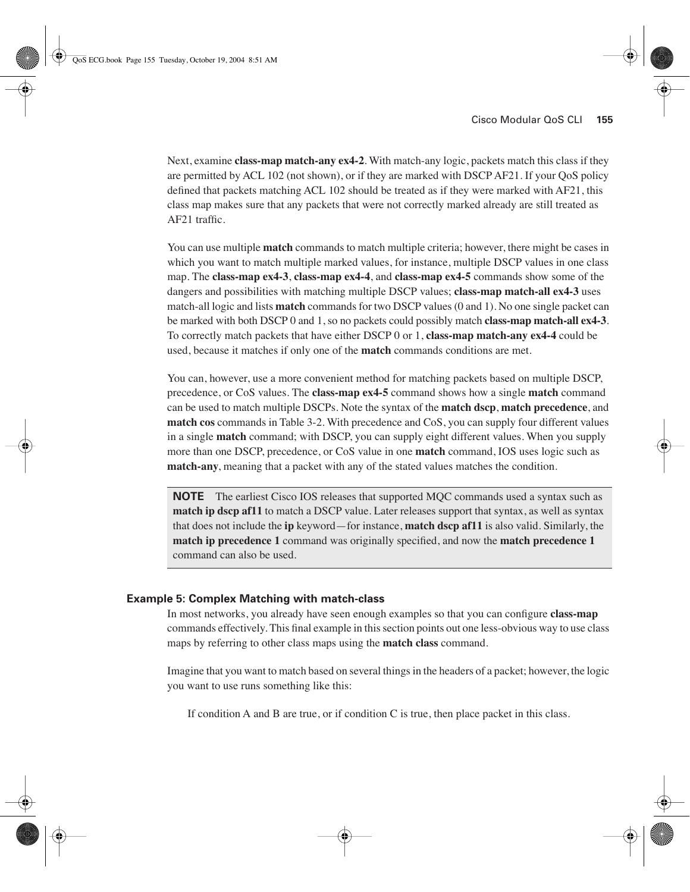Next, examine **class-map match-any ex4-2**. With match-any logic, packets match this class if they are permitted by ACL 102 (not shown), or if they are marked with DSCP AF21. If your QoS policy defined that packets matching ACL 102 should be treated as if they were marked with AF21, this class map makes sure that any packets that were not correctly marked already are still treated as AF21 traffic.

You can use multiple **match** commands to match multiple criteria; however, there might be cases in which you want to match multiple marked values, for instance, multiple DSCP values in one class map. The **class-map ex4-3**, **class-map ex4-4**, and **class-map ex4-5** commands show some of the dangers and possibilities with matching multiple DSCP values; **class-map match-all ex4-3** uses match-all logic and lists **match** commands for two DSCP values (0 and 1). No one single packet can be marked with both DSCP 0 and 1, so no packets could possibly match **class-map match-all ex4-3**. To correctly match packets that have either DSCP 0 or 1, **class-map match-any ex4-4** could be used, because it matches if only one of the **match** commands conditions are met.

You can, however, use a more convenient method for matching packets based on multiple DSCP, precedence, or CoS values. The **class-map ex4-5** command shows how a single **match** command can be used to match multiple DSCPs. Note the syntax of the **match dscp**, **match precedence**, and **match cos** commands in Table 3-2. With precedence and CoS, you can supply four different values in a single **match** command; with DSCP, you can supply eight different values. When you supply more than one DSCP, precedence, or CoS value in one **match** command, IOS uses logic such as **match-any**, meaning that a packet with any of the stated values matches the condition.

**NOTE** The earliest Cisco IOS releases that supported MQC commands used a syntax such as **match ip dscp af11** to match a DSCP value. Later releases support that syntax, as well as syntax that does not include the **ip** keyword—for instance, **match dscp af11** is also valid. Similarly, the **match ip precedence 1** command was originally specified, and now the **match precedence 1** command can also be used.

#### **Example 5: Complex Matching with match-class**

In most networks, you already have seen enough examples so that you can configure **class-map** commands effectively. This final example in this section points out one less-obvious way to use class maps by referring to other class maps using the **match class** command.

Imagine that you want to match based on several things in the headers of a packet; however, the logic you want to use runs something like this:

If condition A and B are true, or if condition C is true, then place packet in this class.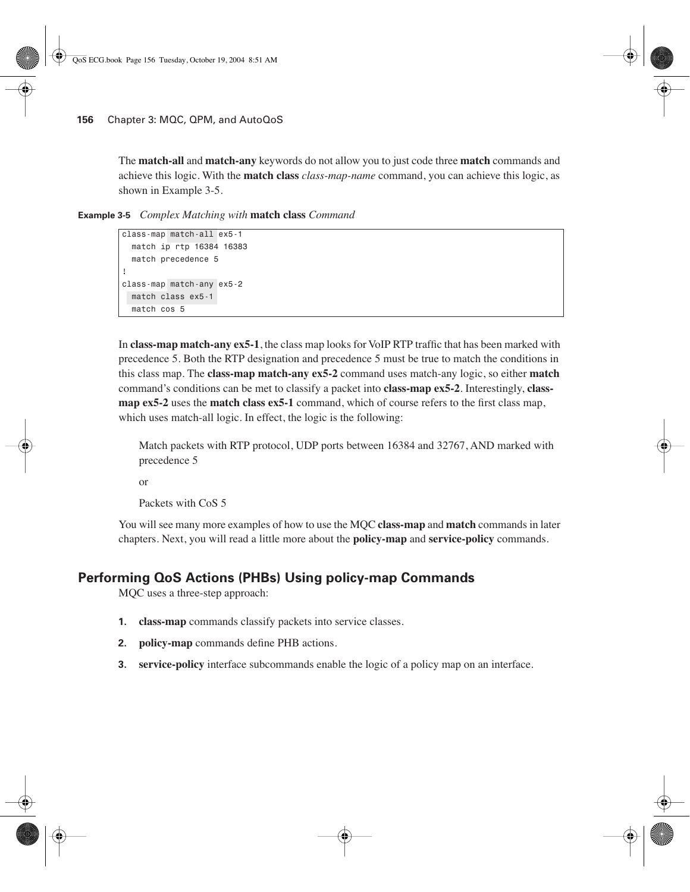The **match-all** and **match-any** keywords do not allow you to just code three **match** commands and achieve this logic. With the **match class** *class-map-name* command, you can achieve this logic, as shown in Example 3-5.

**Example 3-5** *Complex Matching with* **match class** *Command*

```
class-map match-all ex5-1
   match ip rtp 16384 16383
   match precedence 5 
!
class-map match-any ex5-2
   match class ex5-1
   match cos 5
```
In **class-map match-any ex5-1**, the class map looks for VoIP RTP traffic that has been marked with precedence 5. Both the RTP designation and precedence 5 must be true to match the conditions in this class map. The **class-map match-any ex5-2** command uses match-any logic, so either **match**  command's conditions can be met to classify a packet into **class-map ex5-2**. Interestingly, **classmap ex5-2** uses the **match class ex5-1** command, which of course refers to the first class map, which uses match-all logic. In effect, the logic is the following:

Match packets with RTP protocol, UDP ports between 16384 and 32767, AND marked with precedence 5

or

Packets with CoS 5

You will see many more examples of how to use the MQC **class-map** and **match** commands in later chapters. Next, you will read a little more about the **policy-map** and **service-policy** commands.

#### **Performing QoS Actions (PHBs) Using policy-map Commands**

MQC uses a three-step approach:

- **1. class-map** commands classify packets into service classes.
- **2. policy-map** commands define PHB actions.
- **3. service-policy** interface subcommands enable the logic of a policy map on an interface.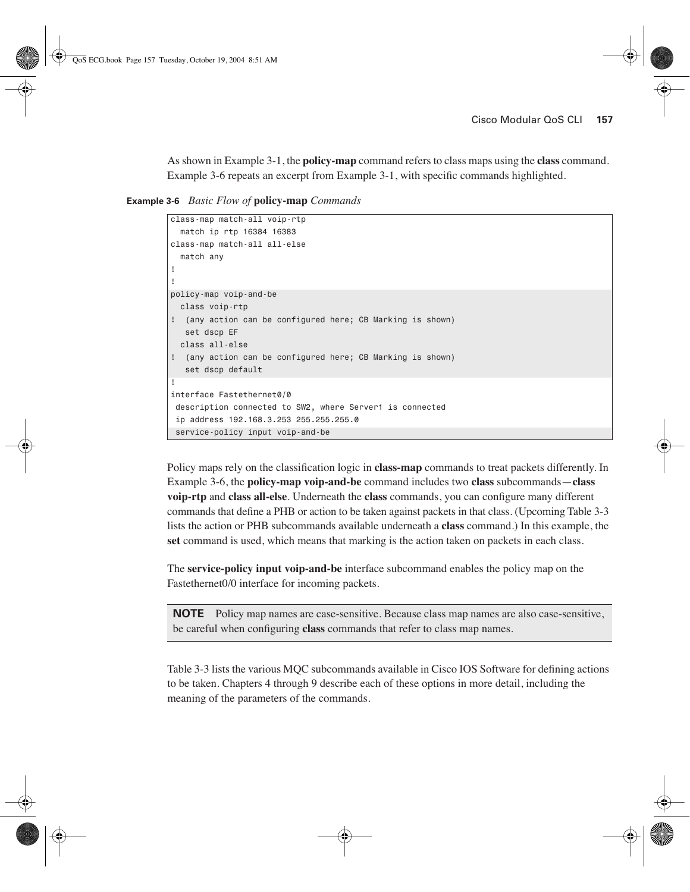As shown in Example 3-1, the **policy-map** command refers to class maps using the **class** command. Example 3-6 repeats an excerpt from Example 3-1, with specific commands highlighted.

**Example 3-6** *Basic Flow of* **policy-map** *Commands*

```
class-map match-all voip-rtp
  match ip rtp 16384 16383 
class-map match-all all-else
  match any
!
!
policy-map voip-and-be
  class voip-rtp
! (any action can be configured here; CB Marking is shown)
   set dscp EF
  class all-else
! (any action can be configured here; CB Marking is shown)
   set dscp default
!
interface Fastethernet0/0
  description connected to SW2, where Server1 is connected
  ip address 192.168.3.253 255.255.255.0
  service-policy input voip-and-be
```
Policy maps rely on the classification logic in **class-map** commands to treat packets differently. In Example 3-6, the **policy-map voip-and-be** command includes two **class** subcommands—**class voip-rtp** and **class all-else**. Underneath the **class** commands, you can configure many different commands that define a PHB or action to be taken against packets in that class. (Upcoming Table 3-3 lists the action or PHB subcommands available underneath a **class** command.) In this example, the **set** command is used, which means that marking is the action taken on packets in each class.

The **service-policy input voip-and-be** interface subcommand enables the policy map on the Fastethernet0/0 interface for incoming packets.

**NOTE** Policy map names are case-sensitive. Because class map names are also case-sensitive, be careful when configuring **class** commands that refer to class map names.

Table 3-3 lists the various MQC subcommands available in Cisco IOS Software for defining actions to be taken. Chapters 4 through 9 describe each of these options in more detail, including the meaning of the parameters of the commands.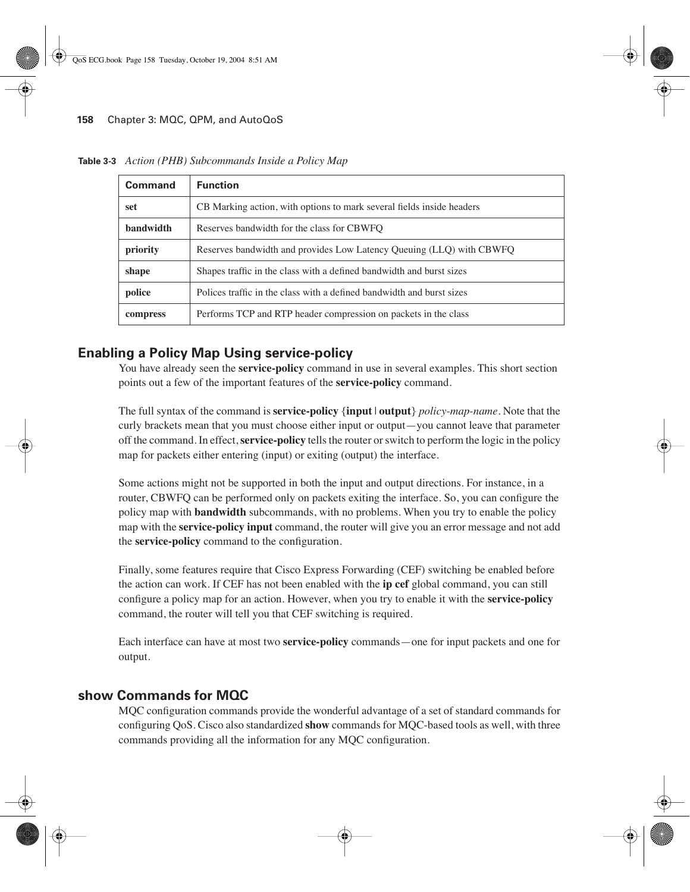| <b>Command</b> | <b>Function</b>                                                       |
|----------------|-----------------------------------------------------------------------|
| set            | CB Marking action, with options to mark several fields inside headers |
| bandwidth      | Reserves bandwidth for the class for CBWFO                            |
| priority       | Reserves bandwidth and provides Low Latency Queuing (LLQ) with CBWFQ  |
| shape          | Shapes traffic in the class with a defined bandwidth and burst sizes  |
| police         | Polices traffic in the class with a defined bandwidth and burst sizes |
| compress       | Performs TCP and RTP header compression on packets in the class       |

**Table 3-3** *Action (PHB) Subcommands Inside a Policy Map*

#### **Enabling a Policy Map Using service-policy**

You have already seen the **service-policy** command in use in several examples. This short section points out a few of the important features of the **service-policy** command.

The full syntax of the command is **service-policy** {**input** | **output**} *policy-map-name*. Note that the curly brackets mean that you must choose either input or output—you cannot leave that parameter off the command. In effect, **service-policy** tells the router or switch to perform the logic in the policy map for packets either entering (input) or exiting (output) the interface.

Some actions might not be supported in both the input and output directions. For instance, in a router, CBWFQ can be performed only on packets exiting the interface. So, you can configure the policy map with **bandwidth** subcommands, with no problems. When you try to enable the policy map with the **service-policy input** command, the router will give you an error message and not add the **service-policy** command to the configuration.

Finally, some features require that Cisco Express Forwarding (CEF) switching be enabled before the action can work. If CEF has not been enabled with the **ip cef** global command, you can still configure a policy map for an action. However, when you try to enable it with the **service-policy** command, the router will tell you that CEF switching is required.

Each interface can have at most two **service-policy** commands—one for input packets and one for output.

#### **show Commands for MQC**

MQC configuration commands provide the wonderful advantage of a set of standard commands for configuring QoS. Cisco also standardized **show** commands for MQC-based tools as well, with three commands providing all the information for any MQC configuration.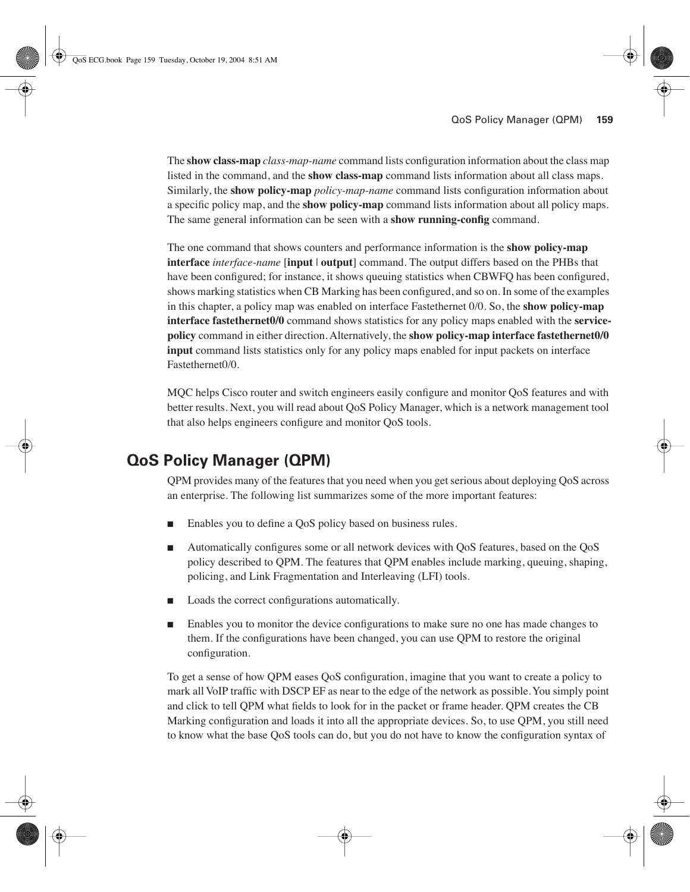The **show class-map** *class-map-name* command lists configuration information about the class map listed in the command, and the **show class-map** command lists information about all class maps. Similarly, the **show policy-map** *policy-map-name* command lists configuration information about a specific policy map, and the **show policy-map** command lists information about all policy maps. The same general information can be seen with a **show running-config** command.

The one command that shows counters and performance information is the **show policy-map interface** *interface-name* [**input** | **output**] command. The output differs based on the PHBs that have been configured; for instance, it shows queuing statistics when CBWFQ has been configured, shows marking statistics when CB Marking has been configured, and so on. In some of the examples in this chapter, a policy map was enabled on interface Fastethernet 0/0. So, the **show policy-map interface fastethernet0/0** command shows statistics for any policy maps enabled with the **servicepolicy** command in either direction. Alternatively, the **show policy-map interface fastethernet0/0 input** command lists statistics only for any policy maps enabled for input packets on interface Fastethernet0/0.

MQC helps Cisco router and switch engineers easily configure and monitor QoS features and with better results. Next, you will read about QoS Policy Manager, which is a network management tool that also helps engineers configure and monitor QoS tools.

## **QoS Policy Manager (QPM)**

QPM provides many of the features that you need when you get serious about deploying QoS across an enterprise. The following list summarizes some of the more important features:

- Enables you to define a QoS policy based on business rules.
- Automatically configures some or all network devices with QoS features, based on the QoS policy described to QPM. The features that QPM enables include marking, queuing, shaping, policing, and Link Fragmentation and Interleaving (LFI) tools.
- Loads the correct configurations automatically.
- Enables you to monitor the device configurations to make sure no one has made changes to them. If the configurations have been changed, you can use QPM to restore the original configuration.

To get a sense of how QPM eases QoS configuration, imagine that you want to create a policy to mark all VoIP traffic with DSCP EF as near to the edge of the network as possible. You simply point and click to tell QPM what fields to look for in the packet or frame header. QPM creates the CB Marking configuration and loads it into all the appropriate devices. So, to use QPM, you still need to know what the base QoS tools can do, but you do not have to know the configuration syntax of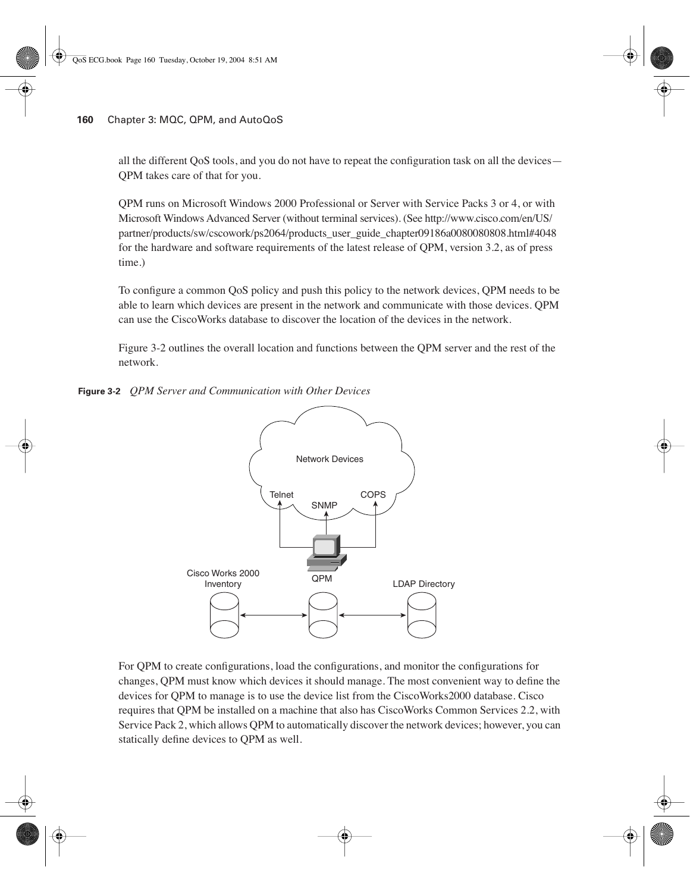all the different QoS tools, and you do not have to repeat the configuration task on all the devices— QPM takes care of that for you.

QPM runs on Microsoft Windows 2000 Professional or Server with Service Packs 3 or 4, or with Microsoft Windows Advanced Server (without terminal services). (See http://www.cisco.com/en/US/ partner/products/sw/cscowork/ps2064/products\_user\_guide\_chapter09186a0080080808.html#4048 for the hardware and software requirements of the latest release of QPM, version 3.2, as of press time.)

To configure a common QoS policy and push this policy to the network devices, QPM needs to be able to learn which devices are present in the network and communicate with those devices. QPM can use the CiscoWorks database to discover the location of the devices in the network.

Figure 3-2 outlines the overall location and functions between the QPM server and the rest of the network.

**Figure 3-2** *QPM Server and Communication with Other Devices*



For QPM to create configurations, load the configurations, and monitor the configurations for changes, QPM must know which devices it should manage. The most convenient way to define the devices for QPM to manage is to use the device list from the CiscoWorks2000 database. Cisco requires that QPM be installed on a machine that also has CiscoWorks Common Services 2.2, with Service Pack 2, which allows QPM to automatically discover the network devices; however, you can statically define devices to QPM as well.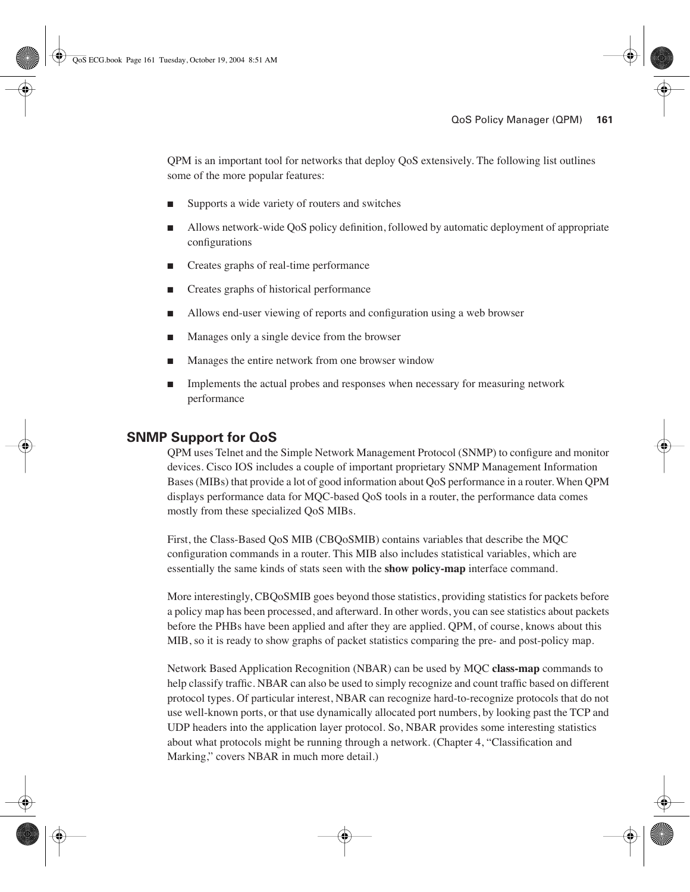QPM is an important tool for networks that deploy QoS extensively. The following list outlines some of the more popular features:

- Supports a wide variety of routers and switches
- Allows network-wide QoS policy definition, followed by automatic deployment of appropriate configurations
- Creates graphs of real-time performance
- Creates graphs of historical performance
- Allows end-user viewing of reports and configuration using a web browser
- Manages only a single device from the browser
- Manages the entire network from one browser window
- Implements the actual probes and responses when necessary for measuring network performance

#### **SNMP Support for QoS**

QPM uses Telnet and the Simple Network Management Protocol (SNMP) to configure and monitor devices. Cisco IOS includes a couple of important proprietary SNMP Management Information Bases (MIBs) that provide a lot of good information about QoS performance in a router. When QPM displays performance data for MQC-based QoS tools in a router, the performance data comes mostly from these specialized QoS MIBs.

First, the Class-Based QoS MIB (CBQoSMIB) contains variables that describe the MQC configuration commands in a router. This MIB also includes statistical variables, which are essentially the same kinds of stats seen with the **show policy-map** interface command.

More interestingly, CBQoSMIB goes beyond those statistics, providing statistics for packets before a policy map has been processed, and afterward. In other words, you can see statistics about packets before the PHBs have been applied and after they are applied. QPM, of course, knows about this MIB, so it is ready to show graphs of packet statistics comparing the pre- and post-policy map.

Network Based Application Recognition (NBAR) can be used by MQC **class-map** commands to help classify traffic. NBAR can also be used to simply recognize and count traffic based on different protocol types. Of particular interest, NBAR can recognize hard-to-recognize protocols that do not use well-known ports, or that use dynamically allocated port numbers, by looking past the TCP and UDP headers into the application layer protocol. So, NBAR provides some interesting statistics about what protocols might be running through a network. (Chapter 4, "Classification and Marking," covers NBAR in much more detail.)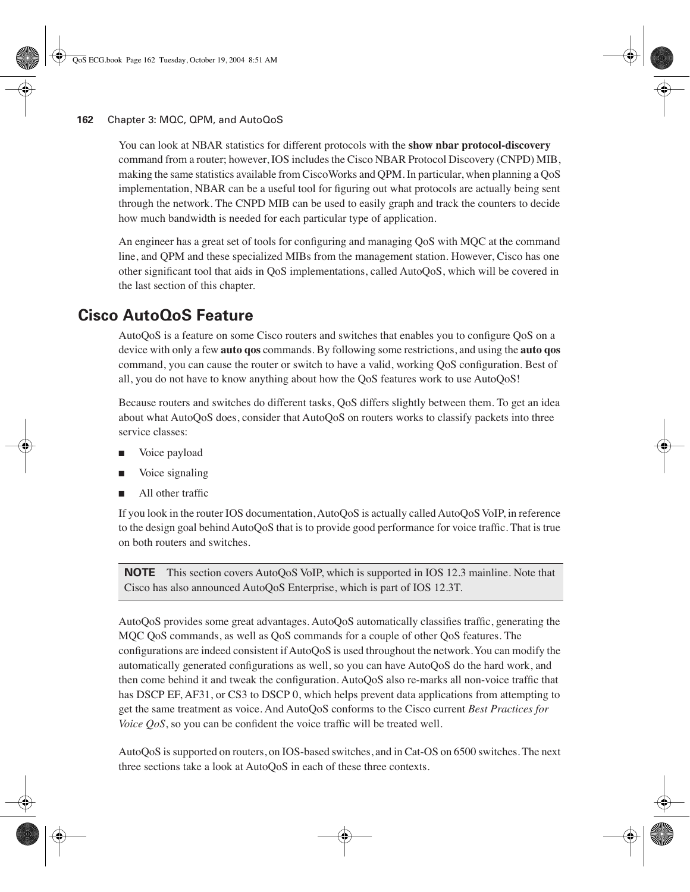You can look at NBAR statistics for different protocols with the **show nbar protocol-discovery** command from a router; however, IOS includes the Cisco NBAR Protocol Discovery (CNPD) MIB, making the same statistics available from CiscoWorks and QPM. In particular, when planning a QoS implementation, NBAR can be a useful tool for figuring out what protocols are actually being sent through the network. The CNPD MIB can be used to easily graph and track the counters to decide how much bandwidth is needed for each particular type of application.

An engineer has a great set of tools for configuring and managing QoS with MQC at the command line, and QPM and these specialized MIBs from the management station. However, Cisco has one other significant tool that aids in QoS implementations, called AutoQoS, which will be covered in the last section of this chapter.

## **Cisco AutoQoS Feature**

AutoQoS is a feature on some Cisco routers and switches that enables you to configure QoS on a device with only a few **auto qos** commands. By following some restrictions, and using the **auto qos** command, you can cause the router or switch to have a valid, working QoS configuration. Best of all, you do not have to know anything about how the QoS features work to use AutoQoS!

Because routers and switches do different tasks, QoS differs slightly between them. To get an idea about what AutoQoS does, consider that AutoQoS on routers works to classify packets into three service classes:

- Voice payload
- Voice signaling
- All other traffic

If you look in the router IOS documentation, AutoQoS is actually called AutoQoS VoIP, in reference to the design goal behind AutoQoS that is to provide good performance for voice traffic. That is true on both routers and switches.

**NOTE** This section covers AutoQoS VoIP, which is supported in IOS 12.3 mainline. Note that Cisco has also announced AutoQoS Enterprise, which is part of IOS 12.3T.

AutoQoS provides some great advantages. AutoQoS automatically classifies traffic, generating the MQC QoS commands, as well as QoS commands for a couple of other QoS features. The configurations are indeed consistent if AutoQoS is used throughout the network. You can modify the automatically generated configurations as well, so you can have AutoQoS do the hard work, and then come behind it and tweak the configuration. AutoQoS also re-marks all non-voice traffic that has DSCP EF, AF31, or CS3 to DSCP 0, which helps prevent data applications from attempting to get the same treatment as voice. And AutoQoS conforms to the Cisco current *Best Practices for Voice QoS*, so you can be confident the voice traffic will be treated well.

AutoQoS is supported on routers, on IOS-based switches, and in Cat-OS on 6500 switches. The next three sections take a look at AutoQoS in each of these three contexts.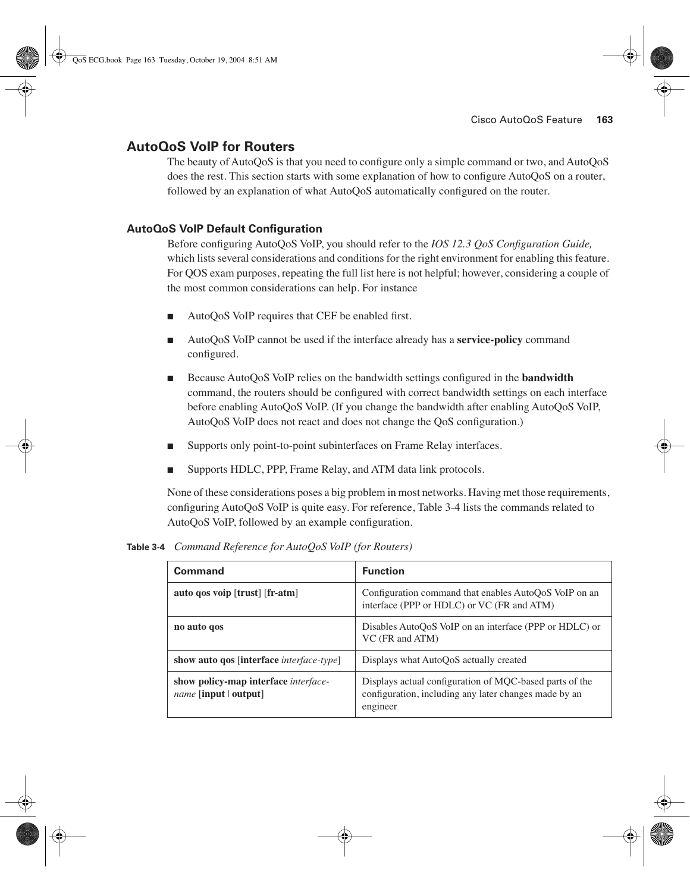#### **AutoQoS VoIP for Routers**

The beauty of AutoQoS is that you need to configure only a simple command or two, and AutoQoS does the rest. This section starts with some explanation of how to configure AutoQoS on a router, followed by an explanation of what AutoQoS automatically configured on the router.

#### **AutoQoS VoIP Default Configuration**

Before configuring AutoQoS VoIP, you should refer to the *IOS 12.3 QoS Configuration Guide,* which lists several considerations and conditions for the right environment for enabling this feature. For QOS exam purposes, repeating the full list here is not helpful; however, considering a couple of the most common considerations can help. For instance

- AutoQoS VoIP requires that CEF be enabled first.
- AutoQoS VoIP cannot be used if the interface already has a **service-policy** command configured.
- Because AutoQoS VoIP relies on the bandwidth settings configured in the **bandwidth** command, the routers should be configured with correct bandwidth settings on each interface before enabling AutoQoS VoIP. (If you change the bandwidth after enabling AutoQoS VoIP, AutoQoS VoIP does not react and does not change the QoS configuration.)
- Supports only point-to-point subinterfaces on Frame Relay interfaces.
- Supports HDLC, PPP, Frame Relay, and ATM data link protocols.

None of these considerations poses a big problem in most networks. Having met those requirements, configuring AutoQoS VoIP is quite easy. For reference, Table 3-4 lists the commands related to AutoQoS VoIP, followed by an example configuration.

**Table 3-4** *Command Reference for AutoQoS VoIP (for Routers)*

| Command                                                                              | <b>Function</b>                                                                                                              |
|--------------------------------------------------------------------------------------|------------------------------------------------------------------------------------------------------------------------------|
| auto qos voip [trust] [fr-atm]                                                       | Configuration command that enables AutoOoS VoIP on an<br>interface (PPP or HDLC) or VC (FR and ATM)                          |
| no auto gos                                                                          | Disables AutoOoS VoIP on an interface (PPP or HDLC) or<br>VC (FR and ATM)                                                    |
| show auto qos [interface <i>interface-type</i> ]                                     | Displays what AutoQoS actually created                                                                                       |
| show policy-map interface interface-<br><i>name</i> [ <b>input</b>   <b>output</b> ] | Displays actual configuration of MQC-based parts of the<br>configuration, including any later changes made by an<br>engineer |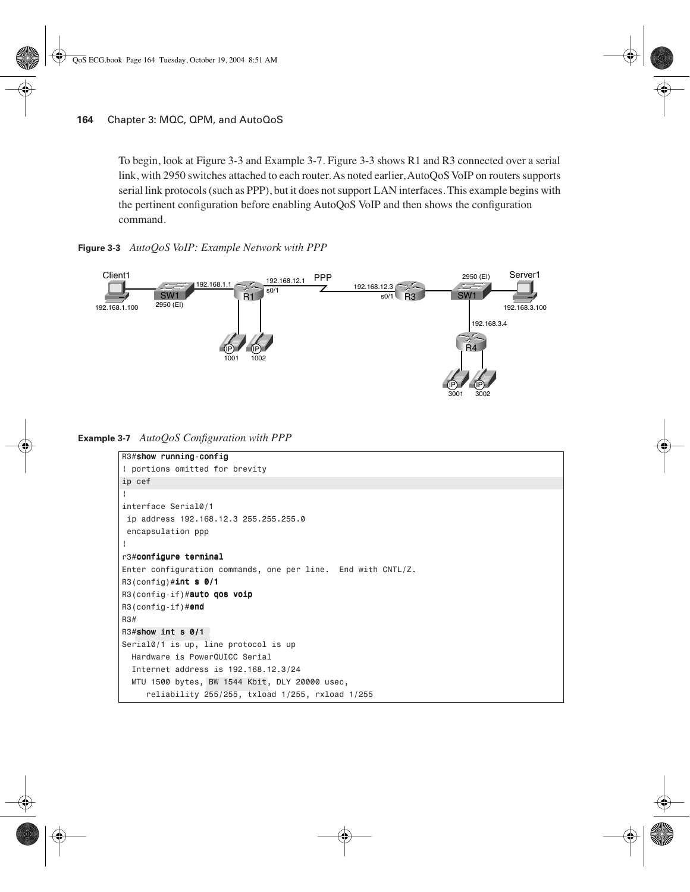To begin, look at Figure 3-3 and Example 3-7. Figure 3-3 shows R1 and R3 connected over a serial link, with 2950 switches attached to each router. As noted earlier, AutoQoS VoIP on routers supports serial link protocols (such as PPP), but it does not support LAN interfaces. This example begins with the pertinent configuration before enabling AutoQoS VoIP and then shows the configuration command.







| R3#show running-config                                       |
|--------------------------------------------------------------|
| ! portions omitted for brevity                               |
| ip cef                                                       |
| ÷.                                                           |
| interface Serial0/1                                          |
| ip address 192.168.12.3 255.255.255.0                        |
| encapsulation ppp                                            |
|                                                              |
| r3#configure terminal                                        |
| Enter configuration commands, one per line. End with CNTL/Z. |
| $R3$ (config)#int s $\theta/1$                               |
| $R3$ (config-if)#auto qos voip                               |
| $R3$ (config-if)#end                                         |
| R3#                                                          |
| R3#show int s $Q/1$                                          |
| Serial0/1 is up, line protocol is up                         |
| Hardware is PowerQUICC Serial                                |
| Internet address is 192.168.12.3/24                          |
| MTU 1500 bytes, BW 1544 Kbit, DLY 20000 usec,                |
| reliability 255/255, txload 1/255, rxload 1/255              |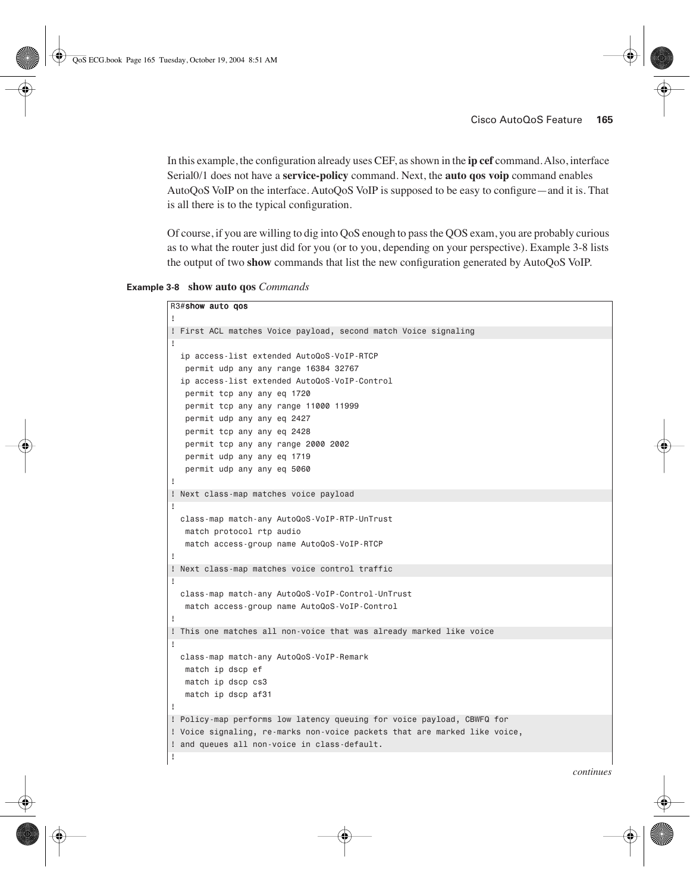In this example, the configuration already uses CEF, as shown in the **ip cef** command. Also, interface Serial0/1 does not have a **service-policy** command. Next, the **auto qos voip** command enables AutoQoS VoIP on the interface. AutoQoS VoIP is supposed to be easy to configure—and it is. That is all there is to the typical configuration.

Of course, if you are willing to dig into QoS enough to pass the QOS exam, you are probably curious as to what the router just did for you (or to you, depending on your perspective). Example 3-8 lists the output of two **show** commands that list the new configuration generated by AutoQoS VoIP.

**Example 3-8 show auto qos** *Commands* 

```
R3#show auto qos
!
! First ACL matches Voice payload, second match Voice signaling
!
  ip access-list extended AutoQoS-VoIP-RTCP
   permit udp any any range 16384 32767
  ip access-list extended AutoQoS-VoIP-Control
   permit tcp any any eq 1720
   permit tcp any any range 11000 11999
   permit udp any any eq 2427
   permit tcp any any eq 2428
   permit tcp any any range 2000 2002
   permit udp any any eq 1719
   permit udp any any eq 5060
!
! Next class-map matches voice payload
!
  class-map match-any AutoQoS-VoIP-RTP-UnTrust
   match protocol rtp audio
    match access-group name AutoQoS-VoIP-RTCP
!
! Next class-map matches voice control traffic
!
  class-map match-any AutoQoS-VoIP-Control-UnTrust
    match access-group name AutoQoS-VoIP-Control
!
! This one matches all non-voice that was already marked like voice
!
  class-map match-any AutoQoS-VoIP-Remark
   match ip dscp ef
   match ip dscp cs3
   match ip dscp af31
!
! Policy-map performs low latency queuing for voice payload, CBWFQ for
! Voice signaling, re-marks non-voice packets that are marked like voice,
! and queues all non-voice in class-default.
!
```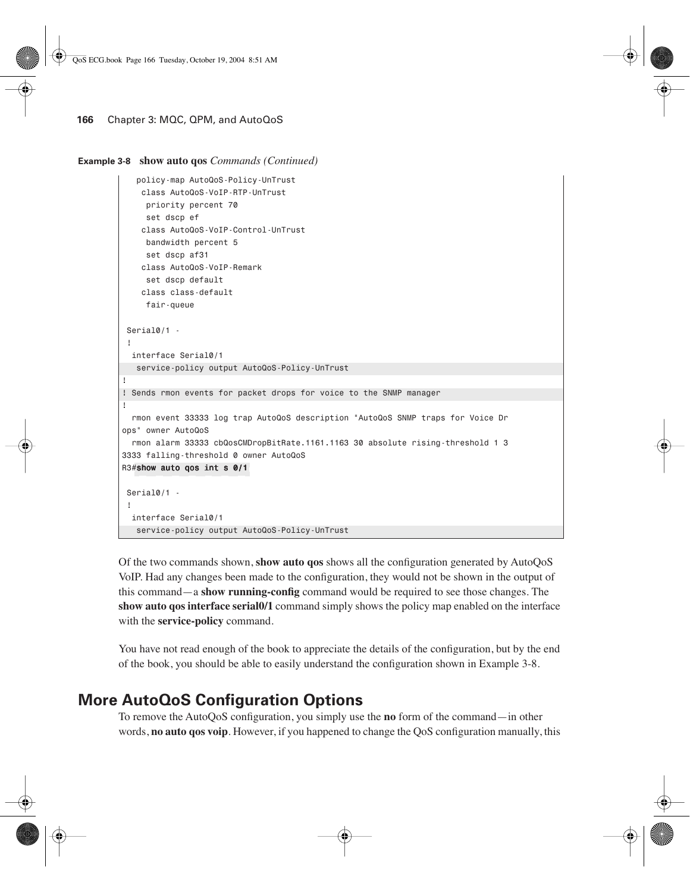```
Example 3-8 show auto qos Commands (Continued)
```

```
 policy-map AutoQoS-Policy-UnTrust
    class AutoQoS-VoIP-RTP-UnTrust
     priority percent 70
     set dscp ef
    class AutoQoS-VoIP-Control-UnTrust
     bandwidth percent 5
     set dscp af31
    class AutoQoS-VoIP-Remark
     set dscp default
    class class-default
     fair-queue
Serial0/1 -
  !
  interface Serial0/1
    service-policy output AutoQoS-Policy-UnTrust
!
! Sends rmon events for packet drops for voice to the SNMP manager
!
  rmon event 33333 log trap AutoQoS description "AutoQoS SNMP traps for Voice Dr
ops" owner AutoQoS
  rmon alarm 33333 cbQosCMDropBitRate.1161.1163 30 absolute rising-threshold 1 3
3333 falling-threshold 0 owner AutoQoS
R3#show auto qos int s 0/1
Serial0/1 -
  !
   interface Serial0/1
    service-policy output AutoQoS-Policy-UnTrust
```
Of the two commands shown, **show auto qos** shows all the configuration generated by AutoQoS VoIP. Had any changes been made to the configuration, they would not be shown in the output of this command—a **show running-config** command would be required to see those changes. The **show auto qos interface serial0/1** command simply shows the policy map enabled on the interface with the **service-policy** command.

You have not read enough of the book to appreciate the details of the configuration, but by the end of the book, you should be able to easily understand the configuration shown in Example 3-8.

## **More AutoQoS Configuration Options**

To remove the AutoQoS configuration, you simply use the **no** form of the command—in other words, **no auto qos voip**. However, if you happened to change the QoS configuration manually, this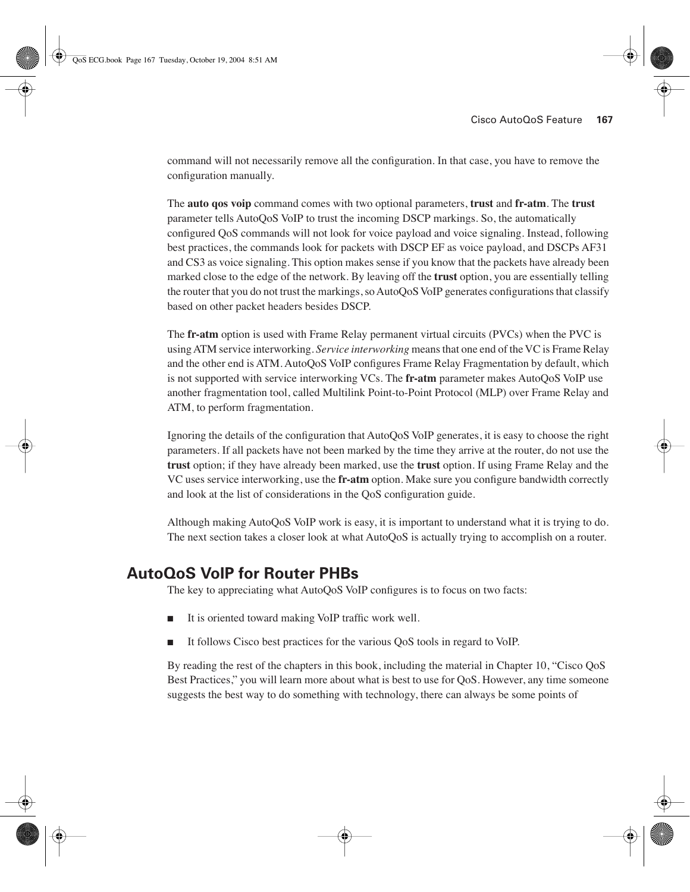command will not necessarily remove all the configuration. In that case, you have to remove the configuration manually.

The **auto qos voip** command comes with two optional parameters, **trust** and **fr-atm**. The **trust**  parameter tells AutoQoS VoIP to trust the incoming DSCP markings. So, the automatically configured QoS commands will not look for voice payload and voice signaling. Instead, following best practices, the commands look for packets with DSCP EF as voice payload, and DSCPs AF31 and CS3 as voice signaling. This option makes sense if you know that the packets have already been marked close to the edge of the network. By leaving off the **trust** option, you are essentially telling the router that you do not trust the markings, so AutoQoS VoIP generates configurations that classify based on other packet headers besides DSCP.

The **fr-atm** option is used with Frame Relay permanent virtual circuits (PVCs) when the PVC is using ATM service interworking. *Service interworking* means that one end of the VC is Frame Relay and the other end is ATM. AutoQoS VoIP configures Frame Relay Fragmentation by default, which is not supported with service interworking VCs. The **fr-atm** parameter makes AutoQoS VoIP use another fragmentation tool, called Multilink Point-to-Point Protocol (MLP) over Frame Relay and ATM, to perform fragmentation.

Ignoring the details of the configuration that AutoQoS VoIP generates, it is easy to choose the right parameters. If all packets have not been marked by the time they arrive at the router, do not use the **trust** option; if they have already been marked, use the **trust** option. If using Frame Relay and the VC uses service interworking, use the **fr-atm** option. Make sure you configure bandwidth correctly and look at the list of considerations in the QoS configuration guide.

Although making AutoQoS VoIP work is easy, it is important to understand what it is trying to do. The next section takes a closer look at what AutoQoS is actually trying to accomplish on a router.

## **AutoQoS VoIP for Router PHBs**

The key to appreciating what AutoQoS VoIP configures is to focus on two facts:

- It is oriented toward making VoIP traffic work well.
- It follows Cisco best practices for the various OoS tools in regard to VoIP.

By reading the rest of the chapters in this book, including the material in Chapter 10, "Cisco QoS Best Practices," you will learn more about what is best to use for QoS. However, any time someone suggests the best way to do something with technology, there can always be some points of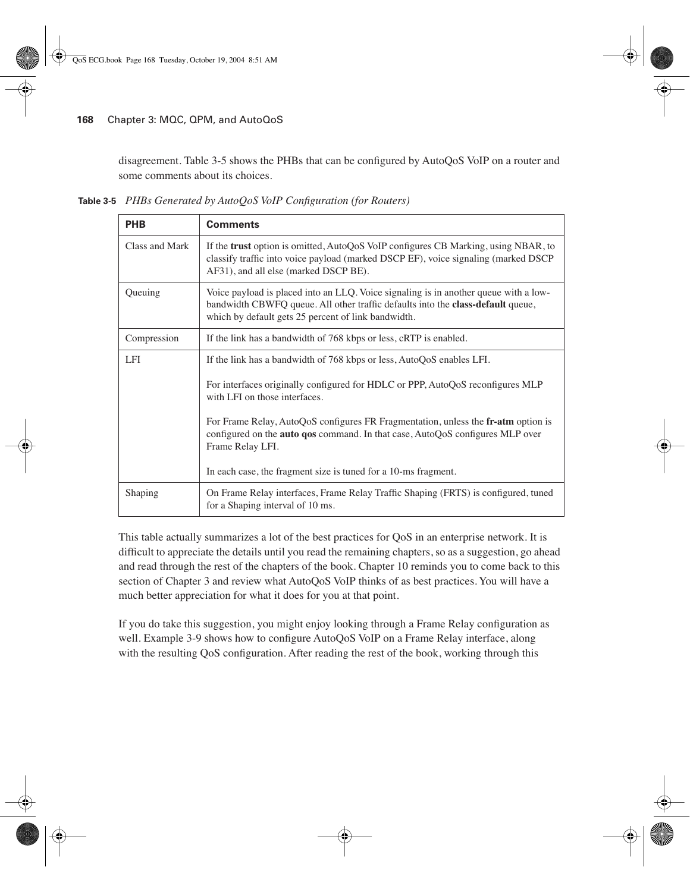disagreement. Table 3-5 shows the PHBs that can be configured by AutoQoS VoIP on a router and some comments about its choices.

**Table 3-5** *PHBs Generated by AutoQoS VoIP Configuration (for Routers)*

| <b>PHB</b>     | <b>Comments</b>                                                                                                                                                                                                                       |  |
|----------------|---------------------------------------------------------------------------------------------------------------------------------------------------------------------------------------------------------------------------------------|--|
| Class and Mark | If the <b>trust</b> option is omitted, AutoQoS VoIP configures CB Marking, using NBAR, to<br>classify traffic into voice payload (marked DSCP EF), voice signaling (marked DSCP<br>AF31), and all else (marked DSCP BE).              |  |
| Queuing        | Voice payload is placed into an LLQ. Voice signaling is in another queue with a low-<br>bandwidth CBWFQ queue. All other traffic defaults into the <b>class-default</b> queue,<br>which by default gets 25 percent of link bandwidth. |  |
| Compression    | If the link has a bandwidth of 768 kbps or less, cRTP is enabled.                                                                                                                                                                     |  |
| LFI            | If the link has a bandwidth of 768 kbps or less, AutoQoS enables LFI.                                                                                                                                                                 |  |
|                | For interfaces originally configured for HDLC or PPP, AutoQoS reconfigures MLP<br>with LFI on those interfaces.                                                                                                                       |  |
|                | For Frame Relay, AutoQoS configures FR Fragmentation, unless the fr-atm option is<br>configured on the <b>auto gos</b> command. In that case, AutoQoS configures MLP over<br>Frame Relay LFI.                                         |  |
|                | In each case, the fragment size is tuned for a 10-ms fragment.                                                                                                                                                                        |  |
| Shaping        | On Frame Relay interfaces, Frame Relay Traffic Shaping (FRTS) is configured, tuned<br>for a Shaping interval of 10 ms.                                                                                                                |  |

This table actually summarizes a lot of the best practices for QoS in an enterprise network. It is difficult to appreciate the details until you read the remaining chapters, so as a suggestion, go ahead and read through the rest of the chapters of the book. Chapter 10 reminds you to come back to this section of Chapter 3 and review what AutoQoS VoIP thinks of as best practices. You will have a much better appreciation for what it does for you at that point.

If you do take this suggestion, you might enjoy looking through a Frame Relay configuration as well. Example 3-9 shows how to configure AutoQoS VoIP on a Frame Relay interface, along with the resulting QoS configuration. After reading the rest of the book, working through this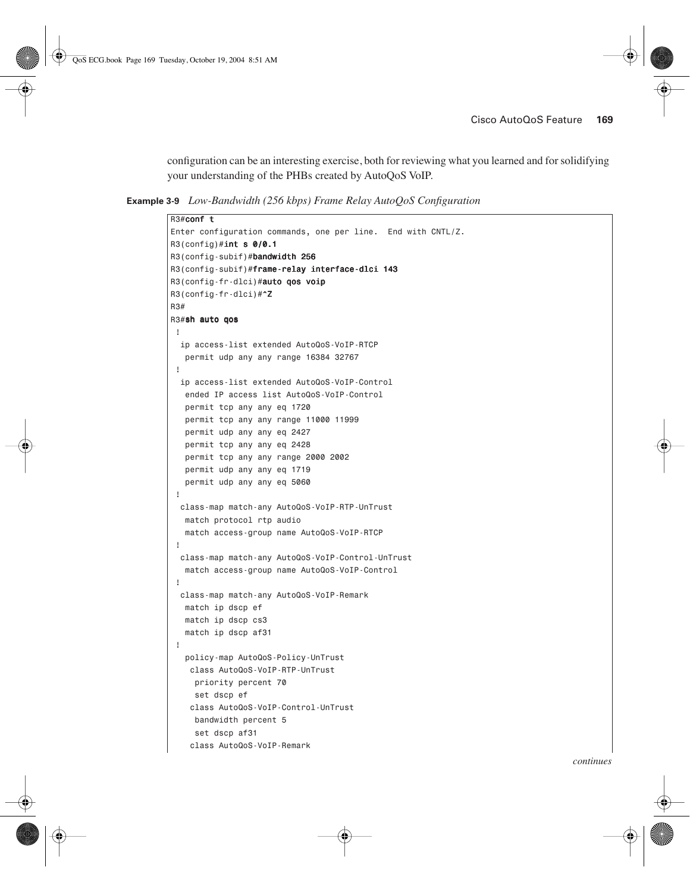configuration can be an interesting exercise, both for reviewing what you learned and for solidifying your understanding of the PHBs created by AutoQoS VoIP.

**Example 3-9** *Low-Bandwidth (256 kbps) Frame Relay AutoQoS Configuration* 

```
R3#conf t
Enter configuration commands, one per line. End with CNTL/Z.
R3(config)#int s 0/0.1R3(config-subif)#bandwidth 256
R3(config-subif)#frame-relay interface-dlci 143
R3(config-fr-dlci)#auto qos voip
R3(config-fr-dlci)#^Z
R3#
R3#sh auto qos
  !
  ip access-list extended AutoQoS-VoIP-RTCP
    permit udp any any range 16384 32767
  !
  ip access-list extended AutoQoS-VoIP-Control
    ended IP access list AutoQoS-VoIP-Control
   permit tcp any any eq 1720
   permit tcp any any range 11000 11999
   permit udp any any eq 2427
   permit tcp any any eq 2428
   permit tcp any any range 2000 2002
    permit udp any any eq 1719
    permit udp any any eq 5060
  !
  class-map match-any AutoQoS-VoIP-RTP-UnTrust
   match protocol rtp audio
   match access-group name AutoQoS-VoIP-RTCP
  !
  class-map match-any AutoQoS-VoIP-Control-UnTrust
   match access-group name AutoQoS-VoIP-Control
  !
  class-map match-any AutoQoS-VoIP-Remark
   match ip dscp ef
   match ip dscp cs3
   match ip dscp af31
  !
    policy-map AutoQoS-Policy-UnTrust
     class AutoQoS-VoIP-RTP-UnTrust
     priority percent 70
     set dscp ef
     class AutoQoS-VoIP-Control-UnTrust
      bandwidth percent 5
      set dscp af31
     class AutoQoS-VoIP-Remark
```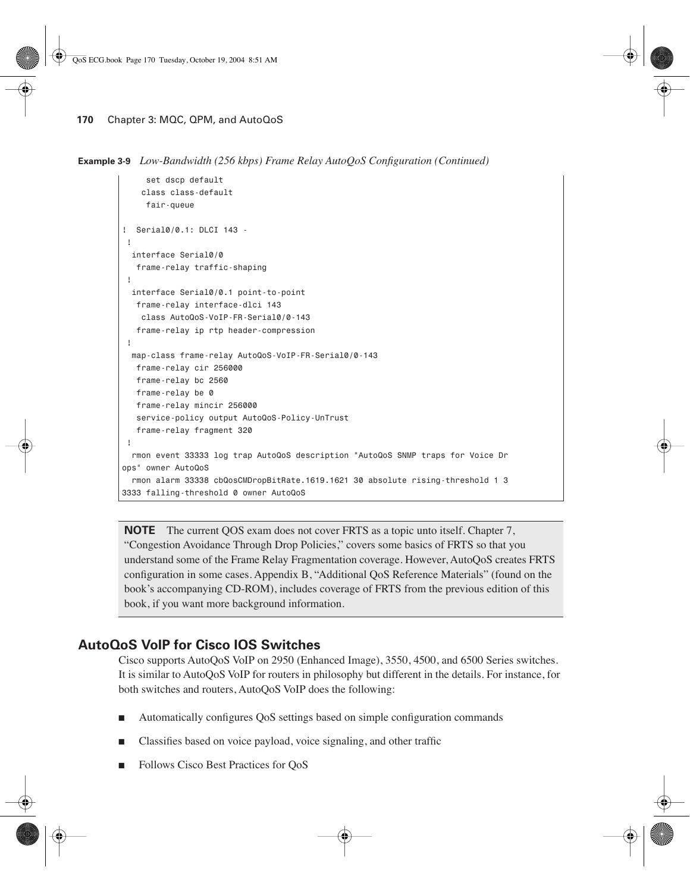**Example 3-9** *Low-Bandwidth (256 kbps) Frame Relay AutoQoS Configuration (Continued)*

```
 set dscp default
    class class-default
     fair-queue
! Serial0/0.1: DLCI 143 -
 !
  interface Serial0/0
   frame-relay traffic-shaping
 !
  interface Serial0/0.1 point-to-point
  frame-relay interface-dlci 143
    class AutoQoS-VoIP-FR-Serial0/0-143
  frame-relay ip rtp header-compression
 !
  map-class frame-relay AutoQoS-VoIP-FR-Serial0/0-143
  frame-relay cir 256000
   frame-relay bc 2560
  frame-relay be 0
  frame-relay mincir 256000
  service-policy output AutoQoS-Policy-UnTrust
   frame-relay fragment 320
  !
  rmon event 33333 log trap AutoQoS description "AutoQoS SNMP traps for Voice Dr
ops" owner AutoQoS
  rmon alarm 33338 cbQosCMDropBitRate.1619.1621 30 absolute rising-threshold 1 3
3333 falling-threshold 0 owner AutoQoS
```
**NOTE** The current QOS exam does not cover FRTS as a topic unto itself. Chapter 7, "Congestion Avoidance Through Drop Policies," covers some basics of FRTS so that you understand some of the Frame Relay Fragmentation coverage. However, AutoQoS creates FRTS configuration in some cases. Appendix B, "Additional QoS Reference Materials" (found on the book's accompanying CD-ROM), includes coverage of FRTS from the previous edition of this book, if you want more background information.

### **AutoQoS VoIP for Cisco IOS Switches**

Cisco supports AutoQoS VoIP on 2950 (Enhanced Image), 3550, 4500, and 6500 Series switches. It is similar to AutoQoS VoIP for routers in philosophy but different in the details. For instance, for both switches and routers, AutoQoS VoIP does the following:

- Automatically configures QoS settings based on simple configuration commands
- Classifies based on voice payload, voice signaling, and other traffic
- Follows Cisco Best Practices for QoS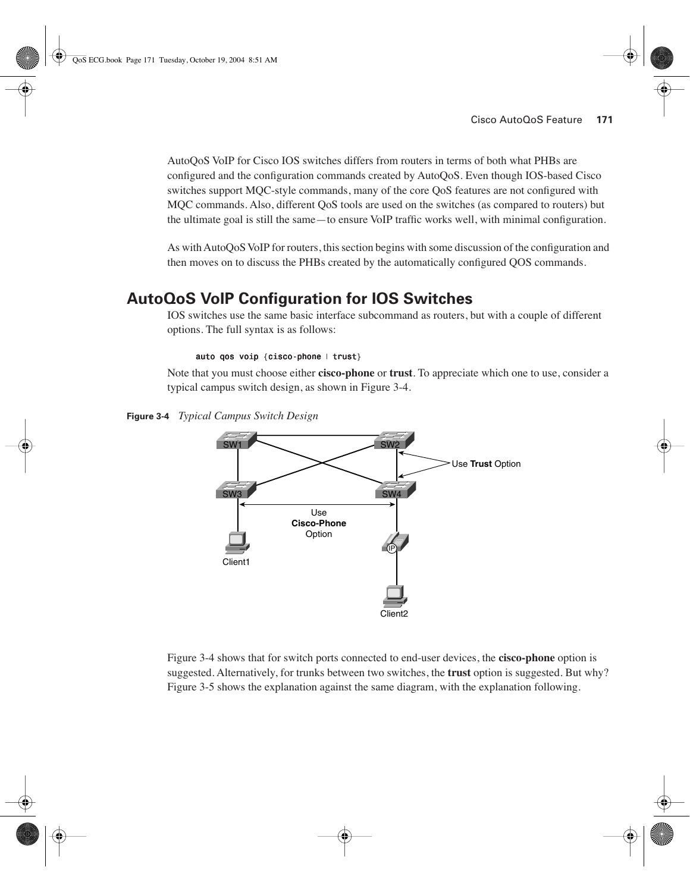AutoQoS VoIP for Cisco IOS switches differs from routers in terms of both what PHBs are configured and the configuration commands created by AutoQoS. Even though IOS-based Cisco switches support MQC-style commands, many of the core QoS features are not configured with MQC commands. Also, different QoS tools are used on the switches (as compared to routers) but the ultimate goal is still the same—to ensure VoIP traffic works well, with minimal configuration.

As with AutoQoS VoIP for routers, this section begins with some discussion of the configuration and then moves on to discuss the PHBs created by the automatically configured QOS commands.

## **AutoQoS VoIP Configuration for IOS Switches**

IOS switches use the same basic interface subcommand as routers, but with a couple of different options. The full syntax is as follows:

#### auto qos voip {cisco-phone | trust}

Note that you must choose either **cisco-phone** or **trust**. To appreciate which one to use, consider a typical campus switch design, as shown in Figure 3-4.

**Figure 3-4** *Typical Campus Switch Design*



Figure 3-4 shows that for switch ports connected to end-user devices, the **cisco-phone** option is suggested. Alternatively, for trunks between two switches, the **trust** option is suggested. But why? Figure 3-5 shows the explanation against the same diagram, with the explanation following.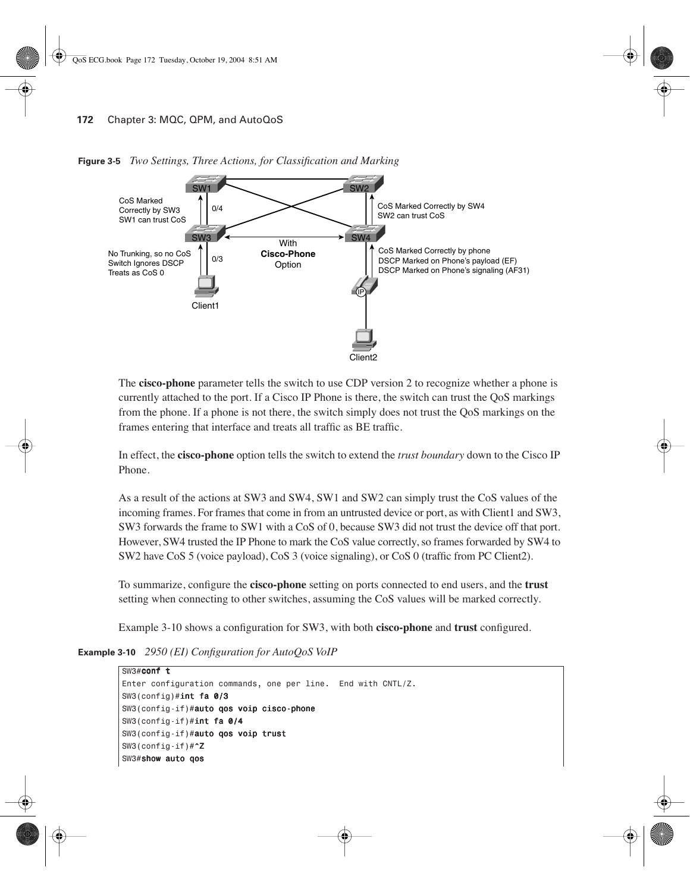

**Figure 3-5** *Two Settings, Three Actions, for Classification and Marking*

The **cisco-phone** parameter tells the switch to use CDP version 2 to recognize whether a phone is currently attached to the port. If a Cisco IP Phone is there, the switch can trust the QoS markings from the phone. If a phone is not there, the switch simply does not trust the QoS markings on the frames entering that interface and treats all traffic as BE traffic.

In effect, the **cisco-phone** option tells the switch to extend the *trust boundary* down to the Cisco IP Phone.

As a result of the actions at SW3 and SW4, SW1 and SW2 can simply trust the CoS values of the incoming frames. For frames that come in from an untrusted device or port, as with Client1 and SW3, SW3 forwards the frame to SW1 with a CoS of 0, because SW3 did not trust the device off that port. However, SW4 trusted the IP Phone to mark the CoS value correctly, so frames forwarded by SW4 to SW2 have CoS 5 (voice payload), CoS 3 (voice signaling), or CoS 0 (traffic from PC Client2).

To summarize, configure the **cisco-phone** setting on ports connected to end users, and the **trust**  setting when connecting to other switches, assuming the CoS values will be marked correctly.

Example 3-10 shows a configuration for SW3, with both **cisco-phone** and **trust** configured.

**Example 3-10** *2950 (EI) Configuration for AutoQoS VoIP* 

```
SW3#conf t
Enter configuration commands, one per line. End with CNTL/Z.
SW3(config)#int fa 0/3
SW3(config-if)#auto qos voip cisco-phone
SW3(config-if)#int fa 0/4SW3(config-if)#auto qos voip trust
SW3(config-if)#^Z
SW3#show auto qos
```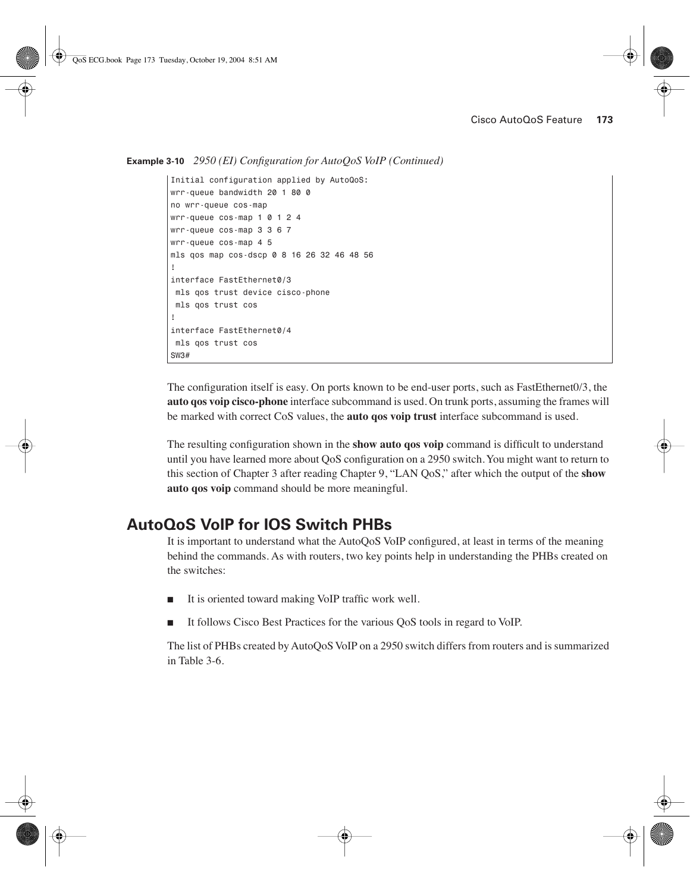```
Example 3-10 2950 (EI) Configuration for AutoQoS VoIP (Continued)
```

```
Initial configuration applied by AutoQoS:
wrr-queue bandwidth 20 1 80 0
no wrr-queue cos-map
wrr-queue cos-map 1 0 1 2 4
wrr-queue cos-map 3 3 6 7
wrr-queue cos-map 4 5
mls qos map cos-dscp 0 8 16 26 32 46 48 56
!
interface FastEthernet0/3
 mls qos trust device cisco-phone
 mls qos trust cos
!
interface FastEthernet0/4
 mls qos trust cos
SW3#
```
The configuration itself is easy. On ports known to be end-user ports, such as FastEthernet0/3, the **auto qos voip cisco-phone** interface subcommand is used. On trunk ports, assuming the frames will be marked with correct CoS values, the **auto qos voip trust** interface subcommand is used.

The resulting configuration shown in the **show auto qos voip** command is difficult to understand until you have learned more about QoS configuration on a 2950 switch. You might want to return to this section of Chapter 3 after reading Chapter 9, "LAN QoS," after which the output of the **show auto qos voip** command should be more meaningful.

## **AutoQoS VoIP for IOS Switch PHBs**

It is important to understand what the AutoQoS VoIP configured, at least in terms of the meaning behind the commands. As with routers, two key points help in understanding the PHBs created on the switches:

- It is oriented toward making VoIP traffic work well.
- It follows Cisco Best Practices for the various QoS tools in regard to VoIP.

The list of PHBs created by AutoQoS VoIP on a 2950 switch differs from routers and is summarized in Table 3-6.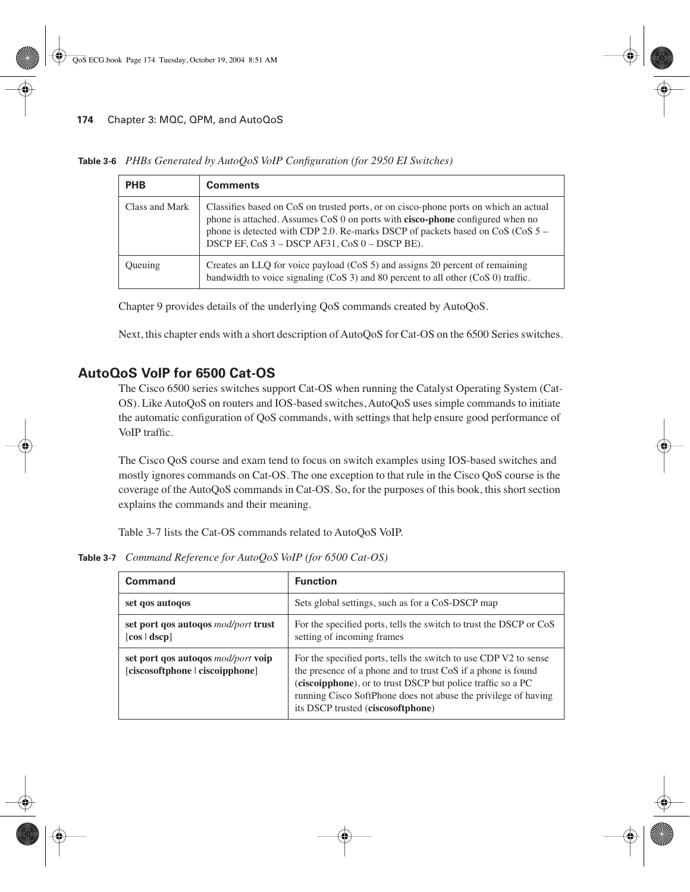**Table 3-6** *PHBs Generated by AutoQoS VoIP Configuration (for 2950 EI Switches)*

| <b>PHB</b>     | <b>Comments</b>                                                                                                                                                                                                                                                                                                                |
|----------------|--------------------------------------------------------------------------------------------------------------------------------------------------------------------------------------------------------------------------------------------------------------------------------------------------------------------------------|
| Class and Mark | Classifies based on CoS on trusted ports, or on cisco-phone ports on which an actual<br>phone is attached. Assumes CoS 0 on ports with cisco-phone configured when no<br>phone is detected with CDP 2.0. Re-marks DSCP of packets based on CoS (CoS $5 -$<br>DSCP EF, $\cos 3 - \text{DSCP}$ AF31, $\cos 0 - \text{DSCP}$ BE). |
| <b>Oueuing</b> | Creates an LLQ for voice payload (CoS 5) and assigns 20 percent of remaining<br>bandwidth to voice signaling ( $\cos 3$ ) and 80 percent to all other ( $\cos 0$ ) traffic.                                                                                                                                                    |

Chapter 9 provides details of the underlying QoS commands created by AutoQoS.

Next, this chapter ends with a short description of AutoQoS for Cat-OS on the 6500 Series switches.

### **AutoQoS VoIP for 6500 Cat-OS**

The Cisco 6500 series switches support Cat-OS when running the Catalyst Operating System (Cat-OS). Like AutoQoS on routers and IOS-based switches, AutoQoS uses simple commands to initiate the automatic configuration of QoS commands, with settings that help ensure good performance of VoIP traffic.

The Cisco QoS course and exam tend to focus on switch examples using IOS-based switches and mostly ignores commands on Cat-OS. The one exception to that rule in the Cisco QoS course is the coverage of the AutoQoS commands in Cat-OS. So, for the purposes of this book, this short section explains the commands and their meaning.

Table 3-7 lists the Cat-OS commands related to AutoQoS VoIP.

**Table 3-7** *Command Reference for AutoQoS VoIP (for 6500 Cat-OS)*

| Command                                                                      | <b>Function</b>                                                                                                                                                                                                                                                                                        |
|------------------------------------------------------------------------------|--------------------------------------------------------------------------------------------------------------------------------------------------------------------------------------------------------------------------------------------------------------------------------------------------------|
| set qos autogos                                                              | Sets global settings, such as for a CoS-DSCP map                                                                                                                                                                                                                                                       |
| set port qos autoqos mod/port trust<br>$\lceil \cos   \text{dscp} \rceil$    | For the specified ports, tells the switch to trust the DSCP or CoS<br>setting of incoming frames                                                                                                                                                                                                       |
| set port qos autoqos <i>mod/port</i> voip<br>[ciscosoftphone   ciscoipphone] | For the specified ports, tells the switch to use CDP V2 to sense<br>the presence of a phone and to trust CoS if a phone is found<br>(ciscoipphone), or to trust DSCP but police traffic so a PC<br>running Cisco SoftPhone does not abuse the privilege of having<br>its DSCP trusted (ciscosoftphone) |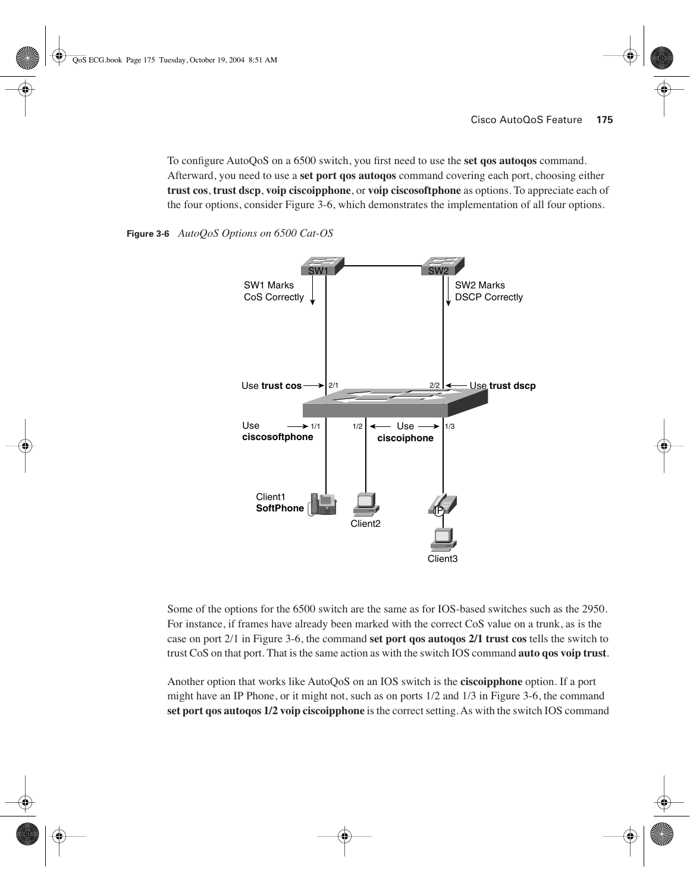To configure AutoQoS on a 6500 switch, you first need to use the **set qos autoqos** command. Afterward, you need to use a **set port qos autoqos** command covering each port, choosing either **trust cos**, **trust dscp**, **voip ciscoipphone**, or **voip ciscosoftphone** as options. To appreciate each of the four options, consider Figure 3-6, which demonstrates the implementation of all four options.

**Figure 3-6** *AutoQoS Options on 6500 Cat-OS*



Some of the options for the 6500 switch are the same as for IOS-based switches such as the 2950. For instance, if frames have already been marked with the correct CoS value on a trunk, as is the case on port 2/1 in Figure 3-6, the command **set port qos autoqos 2/1 trust cos** tells the switch to trust CoS on that port. That is the same action as with the switch IOS command **auto qos voip trust**.

Another option that works like AutoQoS on an IOS switch is the **ciscoipphone** option. If a port might have an IP Phone, or it might not, such as on ports 1/2 and 1/3 in Figure 3-6, the command **set port qos autoqos 1/2 voip ciscoipphone** is the correct setting. As with the switch IOS command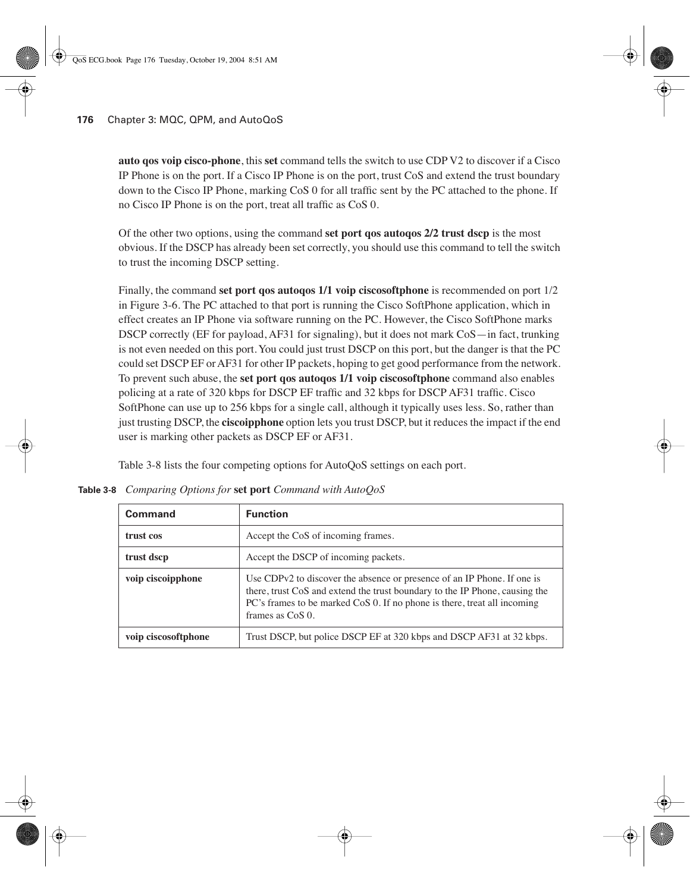**auto qos voip cisco-phone**, this **set** command tells the switch to use CDP V2 to discover if a Cisco IP Phone is on the port. If a Cisco IP Phone is on the port, trust CoS and extend the trust boundary down to the Cisco IP Phone, marking CoS 0 for all traffic sent by the PC attached to the phone. If no Cisco IP Phone is on the port, treat all traffic as CoS 0.

Of the other two options, using the command **set port qos autoqos 2/2 trust dscp** is the most obvious. If the DSCP has already been set correctly, you should use this command to tell the switch to trust the incoming DSCP setting.

Finally, the command **set port qos autoqos 1/1 voip ciscosoftphone** is recommended on port 1/2 in Figure 3-6. The PC attached to that port is running the Cisco SoftPhone application, which in effect creates an IP Phone via software running on the PC. However, the Cisco SoftPhone marks DSCP correctly (EF for payload, AF31 for signaling), but it does not mark CoS—in fact, trunking is not even needed on this port. You could just trust DSCP on this port, but the danger is that the PC could set DSCP EF or AF31 for other IP packets, hoping to get good performance from the network. To prevent such abuse, the **set port qos autoqos 1/1 voip ciscosoftphone** command also enables policing at a rate of 320 kbps for DSCP EF traffic and 32 kbps for DSCP AF31 traffic. Cisco SoftPhone can use up to 256 kbps for a single call, although it typically uses less. So, rather than just trusting DSCP, the **ciscoipphone** option lets you trust DSCP, but it reduces the impact if the end user is marking other packets as DSCP EF or AF31.

Table 3-8 lists the four competing options for AutoQoS settings on each port.

| <b>Command</b>      | <b>Function</b>                                                                                                                                                                                                                                        |  |
|---------------------|--------------------------------------------------------------------------------------------------------------------------------------------------------------------------------------------------------------------------------------------------------|--|
| trust cos           | Accept the CoS of incoming frames.                                                                                                                                                                                                                     |  |
| trust dscp          | Accept the DSCP of incoming packets.                                                                                                                                                                                                                   |  |
| voip ciscoipphone   | Use CDPv2 to discover the absence or presence of an IP Phone. If one is<br>there, trust CoS and extend the trust boundary to the IP Phone, causing the<br>PC's frames to be marked CoS 0. If no phone is there, treat all incoming<br>frames as CoS 0. |  |
| voip ciscosoftphone | Trust DSCP, but police DSCP EF at 320 kbps and DSCP AF31 at 32 kbps.                                                                                                                                                                                   |  |

**Table 3-8** *Comparing Options for* **set port** *Command with AutoQoS*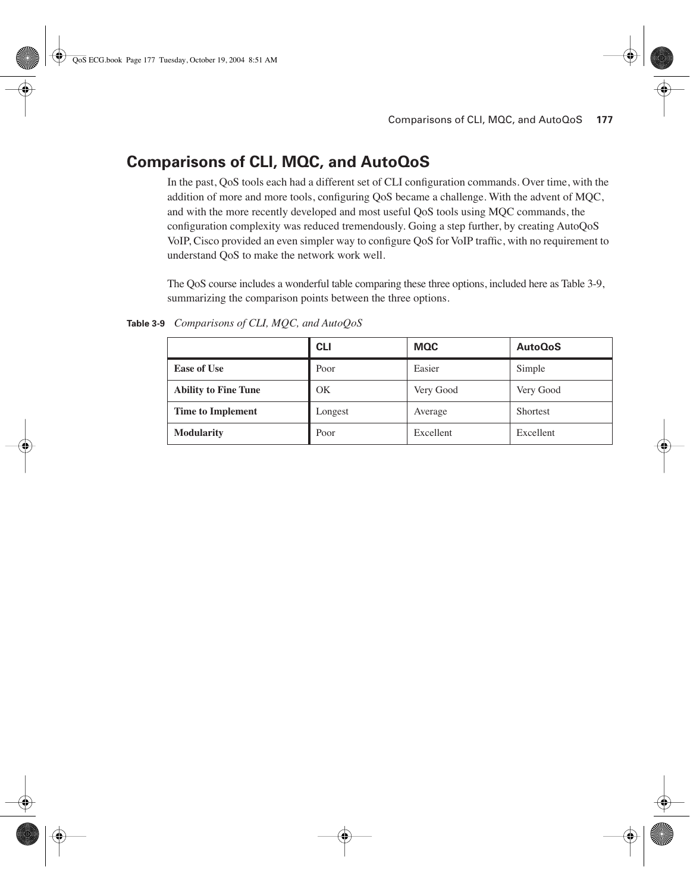## **Comparisons of CLI, MQC, and AutoQoS**

In the past, QoS tools each had a different set of CLI configuration commands. Over time, with the addition of more and more tools, configuring QoS became a challenge. With the advent of MQC, and with the more recently developed and most useful QoS tools using MQC commands, the configuration complexity was reduced tremendously. Going a step further, by creating AutoQoS VoIP, Cisco provided an even simpler way to configure QoS for VoIP traffic, with no requirement to understand QoS to make the network work well.

The QoS course includes a wonderful table comparing these three options, included here as Table 3-9, summarizing the comparison points between the three options.

|                             | <b>CLI</b> | <b>MQC</b> | AutoQoS         |
|-----------------------------|------------|------------|-----------------|
| Ease of Use                 | Poor       | Easier     | Simple          |
| <b>Ability to Fine Tune</b> | OK         | Very Good  | Very Good       |
| <b>Time to Implement</b>    | Longest    | Average    | <b>Shortest</b> |
| <b>Modularity</b>           | Poor       | Excellent  | Excellent       |

**Table 3-9** *Comparisons of CLI, MQC, and AutoQoS*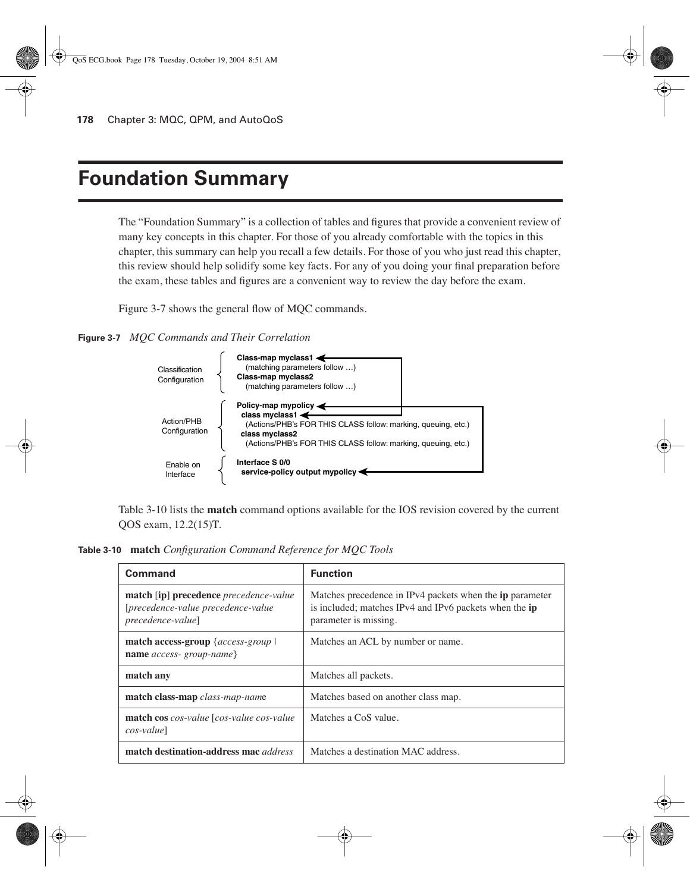## **Foundation Summary**

The "Foundation Summary" is a collection of tables and figures that provide a convenient review of many key concepts in this chapter. For those of you already comfortable with the topics in this chapter, this summary can help you recall a few details. For those of you who just read this chapter, this review should help solidify some key facts. For any of you doing your final preparation before the exam, these tables and figures are a convenient way to review the day before the exam.

Figure 3-7 shows the general flow of MQC commands.

**Figure 3-7** *MQC Commands and Their Correlation*



Table 3-10 lists the **match** command options available for the IOS revision covered by the current QOS exam, 12.2(15)T.

**Table 3-10 match** *Configuration Command Reference for MQC Tools* 

| Command                                                                                                                  | <b>Function</b>                                                                                                                                    |  |
|--------------------------------------------------------------------------------------------------------------------------|----------------------------------------------------------------------------------------------------------------------------------------------------|--|
| <b>match</b> [ip] precedence <i>precedence-value</i><br>[precedence-value precedence-value]<br><i>precedence-value</i> ] | Matches precedence in IPv4 packets when the <b>ip</b> parameter<br>is included; matches IPv4 and IPv6 packets when the ip<br>parameter is missing. |  |
| match access-group { $access\text{-}group$ }<br>name access- group-name}                                                 | Matches an ACL by number or name.                                                                                                                  |  |
| match any                                                                                                                | Matches all packets.                                                                                                                               |  |
| match class-map <i>class-map-name</i>                                                                                    | Matches based on another class map.                                                                                                                |  |
| <b>match cos</b> cos-value [cos-value cos-value<br>$cos$ -value                                                          | Matches a CoS value.                                                                                                                               |  |
| match destination-address mac address                                                                                    | Matches a destination MAC address.                                                                                                                 |  |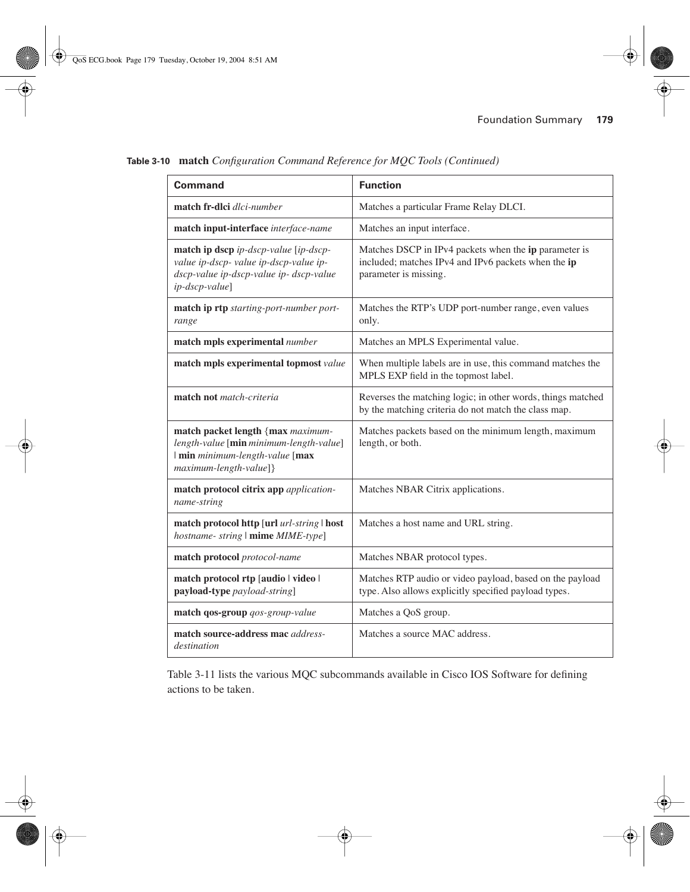| <b>Command</b>                                                                                                                               | <b>Function</b>                                                                                                                       |  |
|----------------------------------------------------------------------------------------------------------------------------------------------|---------------------------------------------------------------------------------------------------------------------------------------|--|
| match fr-dlci dlci-number                                                                                                                    | Matches a particular Frame Relay DLCI.                                                                                                |  |
| match input-interface interface-name                                                                                                         | Matches an input interface.                                                                                                           |  |
| match ip dscp ip-dscp-value [ip-dscp-<br>value ip-dscp- value ip-dscp-value ip-<br>dscp-value ip-dscp-value ip- dscp-value<br>ip-dscp-value] | Matches DSCP in IPv4 packets when the ip parameter is<br>included; matches IPv4 and IPv6 packets when the ip<br>parameter is missing. |  |
| match ip rtp starting-port-number port-<br>range                                                                                             | Matches the RTP's UDP port-number range, even values<br>only.                                                                         |  |
| match mpls experimental number                                                                                                               | Matches an MPLS Experimental value.                                                                                                   |  |
| match mpls experimental topmost value                                                                                                        | When multiple labels are in use, this command matches the<br>MPLS EXP field in the topmost label.                                     |  |
| match not match-criteria                                                                                                                     | Reverses the matching logic; in other words, things matched<br>by the matching criteria do not match the class map.                   |  |
| match packet length {max maximum-<br>length-value [min minimum-length-value]<br>I min minimum-length-value [max<br>maximum-length-value]}    | Matches packets based on the minimum length, maximum<br>length, or both.                                                              |  |
| match protocol citrix app application-<br>name-string                                                                                        | Matches NBAR Citrix applications.                                                                                                     |  |
| match protocol http [url <i>url-string</i>   host<br>hostname- string   mime MIME-type]                                                      | Matches a host name and URL string.                                                                                                   |  |
| match protocol protocol-name                                                                                                                 | Matches NBAR protocol types.                                                                                                          |  |
| match protocol rtp [audio   video  <br>payload-type payload-string]                                                                          | Matches RTP audio or video payload, based on the payload<br>type. Also allows explicitly specified payload types.                     |  |
| match qos-group qos-group-value                                                                                                              | Matches a QoS group.                                                                                                                  |  |
| match source-address mac <i>address</i> -<br>destination                                                                                     | Matches a source MAC address.                                                                                                         |  |

**Table 3-10 match** *Configuration Command Reference for MQC Tools (Continued)*

Table 3-11 lists the various MQC subcommands available in Cisco IOS Software for defining actions to be taken.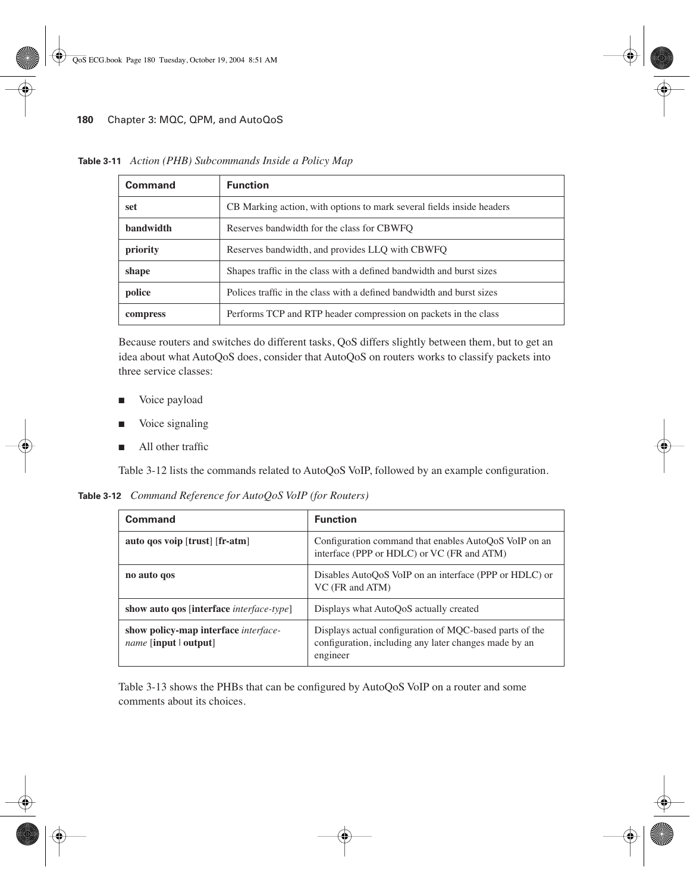| <b>Command</b>   | <b>Function</b>                                                       |
|------------------|-----------------------------------------------------------------------|
| set              | CB Marking action, with options to mark several fields inside headers |
| <b>bandwidth</b> | Reserves bandwidth for the class for CBWFO                            |
| priority         | Reserves bandwidth, and provides LLQ with CBWFQ                       |
| shape            | Shapes traffic in the class with a defined bandwidth and burst sizes  |
| police           | Polices traffic in the class with a defined bandwidth and burst sizes |
| compress         | Performs TCP and RTP header compression on packets in the class       |

**Table 3-11** *Action (PHB) Subcommands Inside a Policy Map*

Because routers and switches do different tasks, QoS differs slightly between them, but to get an idea about what AutoQoS does, consider that AutoQoS on routers works to classify packets into three service classes:

- Voice payload
- Voice signaling
- All other traffic

Table 3-12 lists the commands related to AutoQoS VoIP, followed by an example configuration.

**Table 3-12** *Command Reference for AutoQoS VoIP (for Routers)*

| Command                                                                              | <b>Function</b>                                                                                                              |
|--------------------------------------------------------------------------------------|------------------------------------------------------------------------------------------------------------------------------|
| auto qos voip [trust] [fr-atm]                                                       | Configuration command that enables AutoOoS VoIP on an<br>interface (PPP or HDLC) or VC (FR and ATM)                          |
| no auto gos                                                                          | Disables AutoOoS VoIP on an interface (PPP or HDLC) or<br>VC (FR and ATM)                                                    |
| show auto gos [interface interface-type]                                             | Displays what AutoQoS actually created                                                                                       |
| show policy-map interface interface-<br><i>name</i> [ <b>input</b>   <b>output</b> ] | Displays actual configuration of MQC-based parts of the<br>configuration, including any later changes made by an<br>engineer |

Table 3-13 shows the PHBs that can be configured by AutoQoS VoIP on a router and some comments about its choices.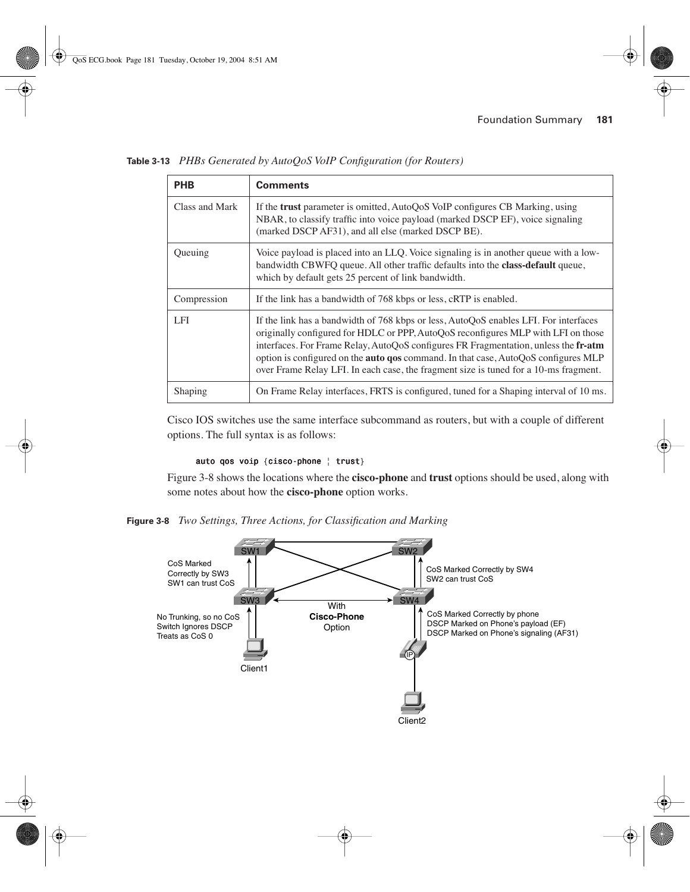| <b>PHB</b>     | <b>Comments</b>                                                                                                                                                                                                                                                                                                                                                                                                                                       |
|----------------|-------------------------------------------------------------------------------------------------------------------------------------------------------------------------------------------------------------------------------------------------------------------------------------------------------------------------------------------------------------------------------------------------------------------------------------------------------|
| Class and Mark | If the <b>trust</b> parameter is omitted, AutoQoS VoIP configures CB Marking, using<br>NBAR, to classify traffic into voice payload (marked DSCP EF), voice signaling<br>(marked DSCP AF31), and all else (marked DSCP BE).                                                                                                                                                                                                                           |
| Queuing        | Voice payload is placed into an LLQ. Voice signaling is in another queue with a low-<br>bandwidth CBWFQ queue. All other traffic defaults into the class-default queue,<br>which by default gets 25 percent of link bandwidth.                                                                                                                                                                                                                        |
| Compression    | If the link has a bandwidth of 768 kbps or less, cRTP is enabled.                                                                                                                                                                                                                                                                                                                                                                                     |
| LFI            | If the link has a bandwidth of 768 kbps or less, AutoQoS enables LFI. For interfaces<br>originally configured for HDLC or PPP, AutoQoS reconfigures MLP with LFI on those<br>interfaces. For Frame Relay, AutoQoS configures FR Fragmentation, unless the fr-atm<br>option is configured on the <b>auto qos</b> command. In that case, AutoQoS configures MLP<br>over Frame Relay LFI. In each case, the fragment size is tuned for a 10-ms fragment. |
| Shaping        | On Frame Relay interfaces, FRTS is configured, tuned for a Shaping interval of 10 ms.                                                                                                                                                                                                                                                                                                                                                                 |

**Table 3-13** *PHBs Generated by AutoQoS VoIP Configuration (for Routers)*

Cisco IOS switches use the same interface subcommand as routers, but with a couple of different options. The full syntax is as follows:

#### auto qos voip {cisco-phone | trust}

Figure 3-8 shows the locations where the **cisco-phone** and **trust** options should be used, along with some notes about how the **cisco-phone** option works.

**Figure 3-8** *Two Settings, Three Actions, for Classification and Marking*

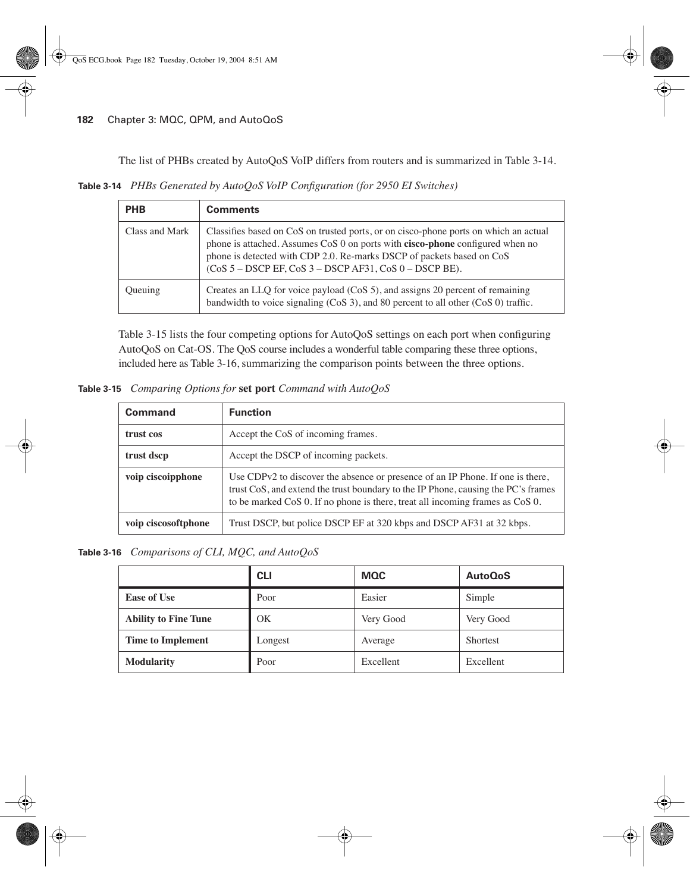The list of PHBs created by AutoQoS VoIP differs from routers and is summarized in Table 3-14.

**Table 3-14** *PHBs Generated by AutoQoS VoIP Configuration (for 2950 EI Switches)*

| <b>PHB</b>     | <b>Comments</b>                                                                                                                                                                                                                                                                                            |
|----------------|------------------------------------------------------------------------------------------------------------------------------------------------------------------------------------------------------------------------------------------------------------------------------------------------------------|
| Class and Mark | Classifies based on CoS on trusted ports, or on cisco-phone ports on which an actual<br>phone is attached. Assumes CoS 0 on ports with cisco-phone configured when no<br>phone is detected with CDP 2.0. Re-marks DSCP of packets based on CoS<br>$(CoS 5 - DSCP EF, CoS 3 - DSCP AF31, CoS 0 - DSCP BE).$ |
| Oueuing        | Creates an LLQ for voice payload (CoS 5), and assigns 20 percent of remaining<br>bandwidth to voice signaling $(CoS 3)$ , and 80 percent to all other $(CoS 0)$ traffic.                                                                                                                                   |

Table 3-15 lists the four competing options for AutoQoS settings on each port when configuring AutoQoS on Cat-OS. The QoS course includes a wonderful table comparing these three options, included here as Table 3-16, summarizing the comparison points between the three options.

**Table 3-15** *Comparing Options for* **set port** *Command with AutoQoS*

| Command             | <b>Function</b>                                                                                                                                                                                                                                      |
|---------------------|------------------------------------------------------------------------------------------------------------------------------------------------------------------------------------------------------------------------------------------------------|
| trust cos           | Accept the CoS of incoming frames.                                                                                                                                                                                                                   |
| trust dscp          | Accept the DSCP of incoming packets.                                                                                                                                                                                                                 |
| voip ciscoipphone   | Use CDPv2 to discover the absence or presence of an IP Phone. If one is there,<br>trust CoS, and extend the trust boundary to the IP Phone, causing the PC's frames<br>to be marked CoS 0. If no phone is there, treat all incoming frames as CoS 0. |
| voip ciscosoftphone | Trust DSCP, but police DSCP EF at 320 kbps and DSCP AF31 at 32 kbps.                                                                                                                                                                                 |

**Table 3-16** *Comparisons of CLI, MQC, and AutoQoS*

|                             | <b>CLI</b> | <b>MQC</b> | AutoQoS   |
|-----------------------------|------------|------------|-----------|
| <b>Ease of Use</b>          | Poor       | Easier     | Simple    |
| <b>Ability to Fine Tune</b> | OK         | Very Good  | Very Good |
| <b>Time to Implement</b>    | Longest    | Average    | Shortest  |
| <b>Modularity</b>           | Poor       | Excellent  | Excellent |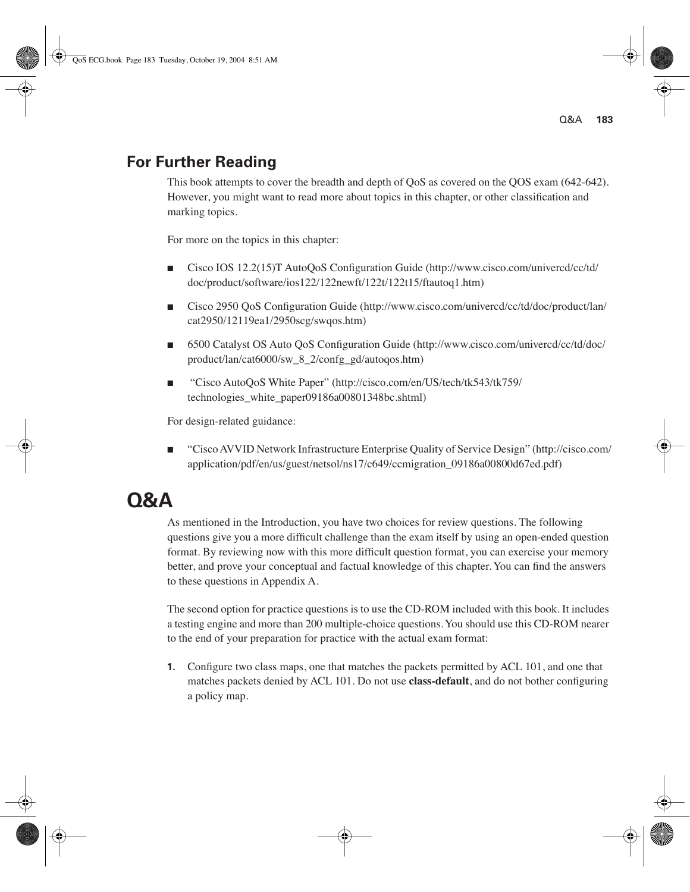## **For Further Reading**

This book attempts to cover the breadth and depth of QoS as covered on the QOS exam (642-642). However, you might want to read more about topics in this chapter, or other classification and marking topics.

For more on the topics in this chapter:

- Cisco IOS 12.2(15)T AutoQoS Configuration Guide (http://www.cisco.com/univercd/cc/td/ doc/product/software/ios122/122newft/122t/122t15/ftautoq1.htm)
- Cisco 2950 QoS Configuration Guide (http://www.cisco.com/univercd/cc/td/doc/product/lan/ cat2950/12119ea1/2950scg/swqos.htm)
- 6500 Catalyst OS Auto OoS Configuration Guide (http://www.cisco.com/univercd/cc/td/doc/ product/lan/cat6000/sw\_8\_2/confg\_gd/autoqos.htm)
- "Cisco AutoQoS White Paper" (http://cisco.com/en/US/tech/tk543/tk759/ technologies\_white\_paper09186a00801348bc.shtml)

For design-related guidance:

■ "Cisco AVVID Network Infrastructure Enterprise Quality of Service Design" (http://cisco.com/ application/pdf/en/us/guest/netsol/ns17/c649/ccmigration\_09186a00800d67ed.pdf)

# **Q&A**

As mentioned in the Introduction, you have two choices for review questions. The following questions give you a more difficult challenge than the exam itself by using an open-ended question format. By reviewing now with this more difficult question format, you can exercise your memory better, and prove your conceptual and factual knowledge of this chapter. You can find the answers to these questions in Appendix A.

The second option for practice questions is to use the CD-ROM included with this book. It includes a testing engine and more than 200 multiple-choice questions. You should use this CD-ROM nearer to the end of your preparation for practice with the actual exam format:

**1.** Configure two class maps, one that matches the packets permitted by ACL 101, and one that matches packets denied by ACL 101. Do not use **class-default**, and do not bother configuring a policy map.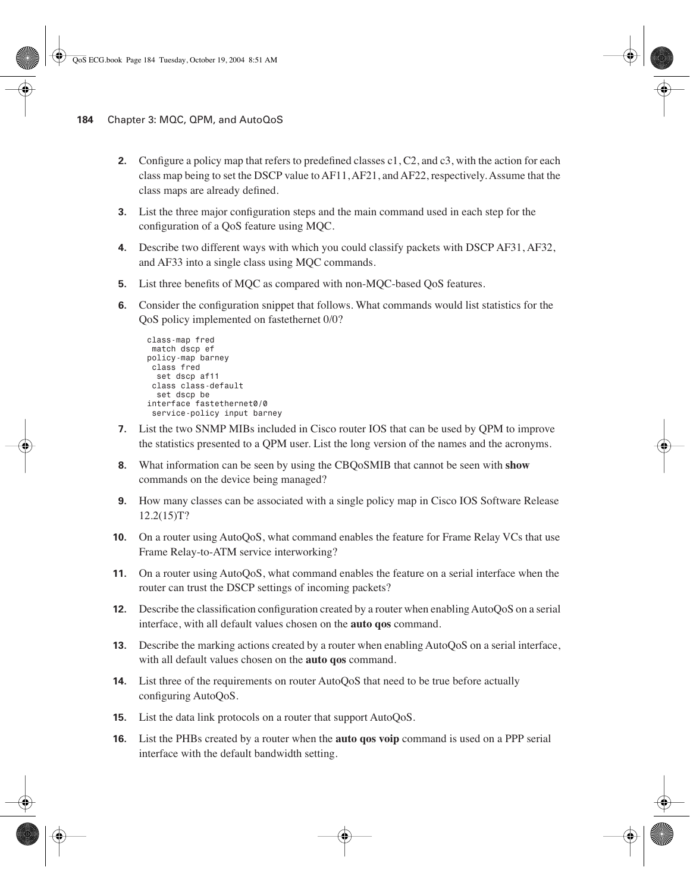- **2.** Configure a policy map that refers to predefined classes c1, C2, and c3, with the action for each class map being to set the DSCP value to AF11, AF21, and AF22, respectively. Assume that the class maps are already defined.
- **3.** List the three major configuration steps and the main command used in each step for the configuration of a QoS feature using MQC.
- **4.** Describe two different ways with which you could classify packets with DSCP AF31, AF32, and AF33 into a single class using MQC commands.
- **5.** List three benefits of MQC as compared with non-MQC-based QoS features.
- **6.** Consider the configuration snippet that follows. What commands would list statistics for the QoS policy implemented on fastethernet 0/0?

```
class-map fred
 match dscp ef
policy-map barney
 class fred
 set dscp af11
 class class-default
  set dscp be
interface fastethernet0/0
 service-policy input barney
```
- **7.** List the two SNMP MIBs included in Cisco router IOS that can be used by QPM to improve the statistics presented to a QPM user. List the long version of the names and the acronyms.
- **8.** What information can be seen by using the CBQoSMIB that cannot be seen with **show** commands on the device being managed?
- **9.** How many classes can be associated with a single policy map in Cisco IOS Software Release 12.2(15)T?
- **10.** On a router using AutoQoS, what command enables the feature for Frame Relay VCs that use Frame Relay-to-ATM service interworking?
- **11.** On a router using AutoQoS, what command enables the feature on a serial interface when the router can trust the DSCP settings of incoming packets?
- **12.** Describe the classification configuration created by a router when enabling AutoQoS on a serial interface, with all default values chosen on the **auto qos** command.
- **13.** Describe the marking actions created by a router when enabling AutoQoS on a serial interface, with all default values chosen on the **auto qos** command.
- **14.** List three of the requirements on router AutoQoS that need to be true before actually configuring AutoQoS.
- **15.** List the data link protocols on a router that support AutoQoS.
- **16.** List the PHBs created by a router when the **auto qos voip** command is used on a PPP serial interface with the default bandwidth setting.